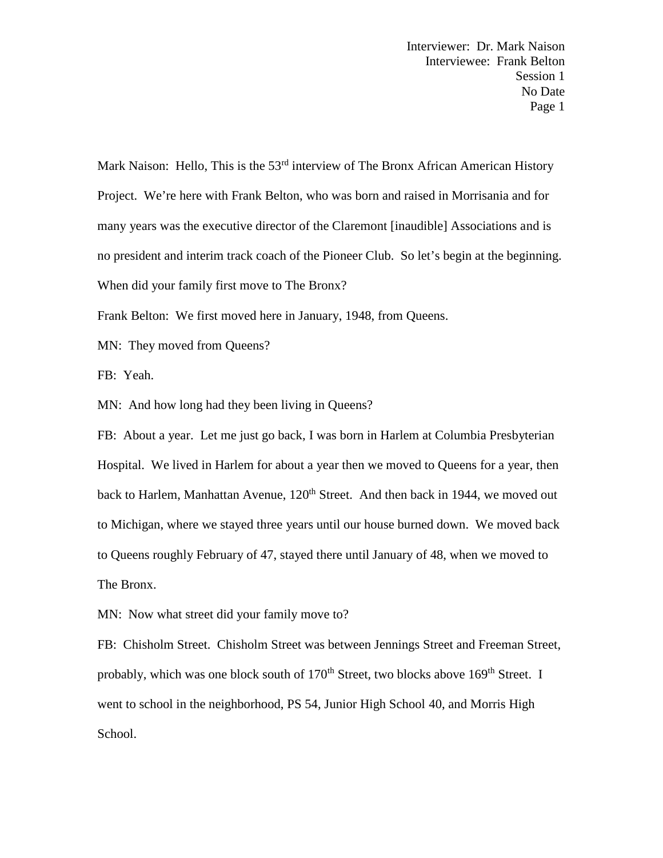Mark Naison: Hello, This is the  $53<sup>rd</sup>$  interview of The Bronx African American History Project. We're here with Frank Belton, who was born and raised in Morrisania and for many years was the executive director of the Claremont [inaudible] Associations and is no president and interim track coach of the Pioneer Club. So let's begin at the beginning. When did your family first move to The Bronx?

Frank Belton: We first moved here in January, 1948, from Queens.

MN: They moved from Queens?

FB: Yeah.

MN: And how long had they been living in Queens?

FB: About a year. Let me just go back, I was born in Harlem at Columbia Presbyterian Hospital. We lived in Harlem for about a year then we moved to Queens for a year, then back to Harlem, Manhattan Avenue, 120<sup>th</sup> Street. And then back in 1944, we moved out to Michigan, where we stayed three years until our house burned down. We moved back to Queens roughly February of 47, stayed there until January of 48, when we moved to The Bronx.

MN: Now what street did your family move to?

FB: Chisholm Street. Chisholm Street was between Jennings Street and Freeman Street, probably, which was one block south of  $170<sup>th</sup>$  Street, two blocks above  $169<sup>th</sup>$  Street. I went to school in the neighborhood, PS 54, Junior High School 40, and Morris High School.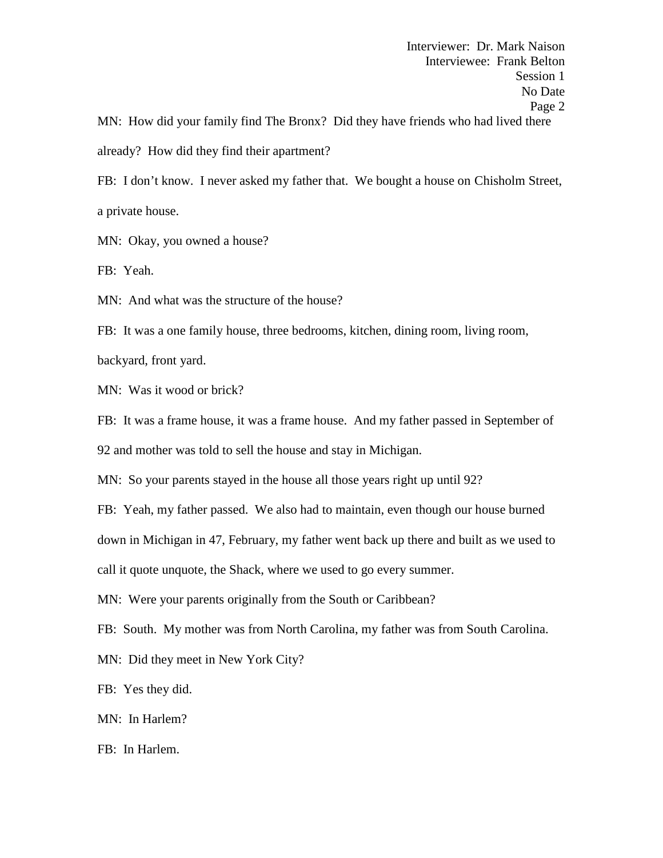FB: I don't know. I never asked my father that. We bought a house on Chisholm Street, a private house.

MN: Okay, you owned a house?

FB: Yeah.

MN: And what was the structure of the house?

FB: It was a one family house, three bedrooms, kitchen, dining room, living room,

backyard, front yard.

MN: Was it wood or brick?

FB: It was a frame house, it was a frame house. And my father passed in September of 92 and mother was told to sell the house and stay in Michigan.

MN: So your parents stayed in the house all those years right up until 92?

FB: Yeah, my father passed. We also had to maintain, even though our house burned

down in Michigan in 47, February, my father went back up there and built as we used to

call it quote unquote, the Shack, where we used to go every summer.

MN: Were your parents originally from the South or Caribbean?

FB: South. My mother was from North Carolina, my father was from South Carolina.

MN: Did they meet in New York City?

FB: Yes they did.

MN: In Harlem?

FB: In Harlem.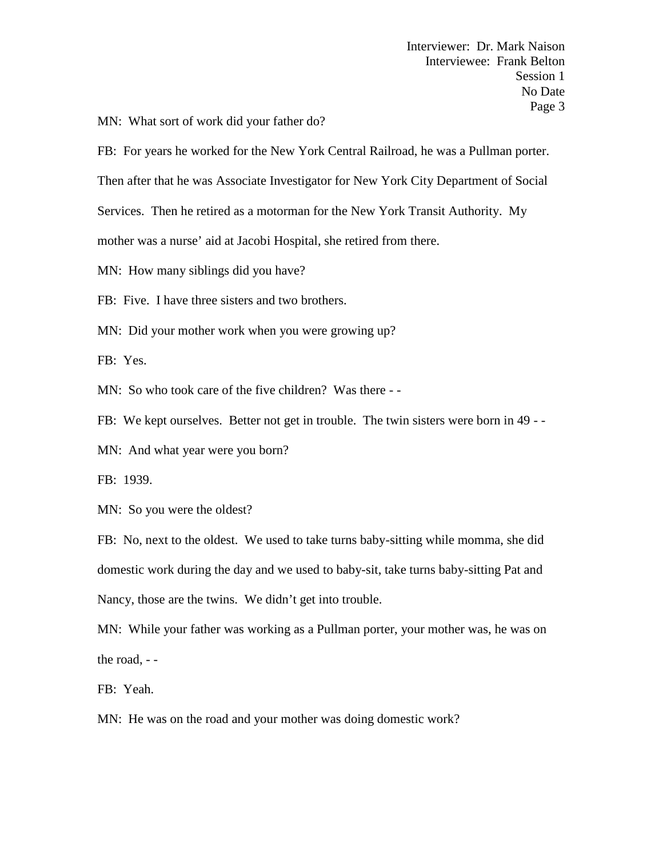MN: What sort of work did your father do?

FB: For years he worked for the New York Central Railroad, he was a Pullman porter.

Then after that he was Associate Investigator for New York City Department of Social

Services. Then he retired as a motorman for the New York Transit Authority. My

mother was a nurse' aid at Jacobi Hospital, she retired from there.

MN: How many siblings did you have?

FB: Five. I have three sisters and two brothers.

MN: Did your mother work when you were growing up?

FB: Yes.

MN: So who took care of the five children? Was there - -

FB: We kept ourselves. Better not get in trouble. The twin sisters were born in 49 - -

MN: And what year were you born?

FB: 1939.

MN: So you were the oldest?

FB: No, next to the oldest. We used to take turns baby-sitting while momma, she did domestic work during the day and we used to baby-sit, take turns baby-sitting Pat and Nancy, those are the twins. We didn't get into trouble.

MN: While your father was working as a Pullman porter, your mother was, he was on the road, - -

FB: Yeah.

MN: He was on the road and your mother was doing domestic work?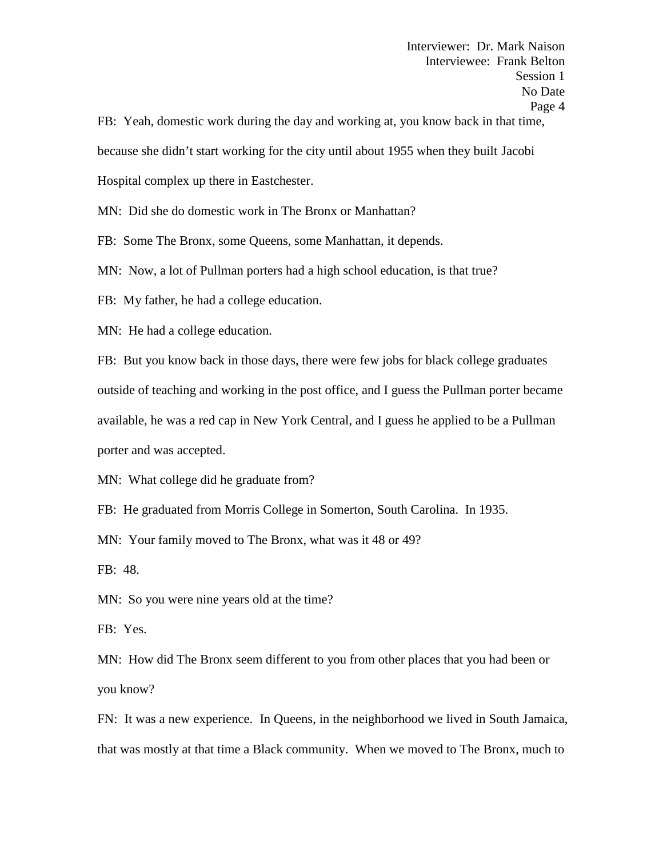FB: Yeah, domestic work during the day and working at, you know back in that time, because she didn't start working for the city until about 1955 when they built Jacobi Hospital complex up there in Eastchester.

MN: Did she do domestic work in The Bronx or Manhattan?

FB: Some The Bronx, some Queens, some Manhattan, it depends.

MN: Now, a lot of Pullman porters had a high school education, is that true?

FB: My father, he had a college education.

MN: He had a college education.

FB: But you know back in those days, there were few jobs for black college graduates outside of teaching and working in the post office, and I guess the Pullman porter became available, he was a red cap in New York Central, and I guess he applied to be a Pullman porter and was accepted.

MN: What college did he graduate from?

FB: He graduated from Morris College in Somerton, South Carolina. In 1935.

MN: Your family moved to The Bronx, what was it 48 or 49?

FB: 48.

MN: So you were nine years old at the time?

FB: Yes.

MN: How did The Bronx seem different to you from other places that you had been or you know?

FN: It was a new experience. In Queens, in the neighborhood we lived in South Jamaica, that was mostly at that time a Black community. When we moved to The Bronx, much to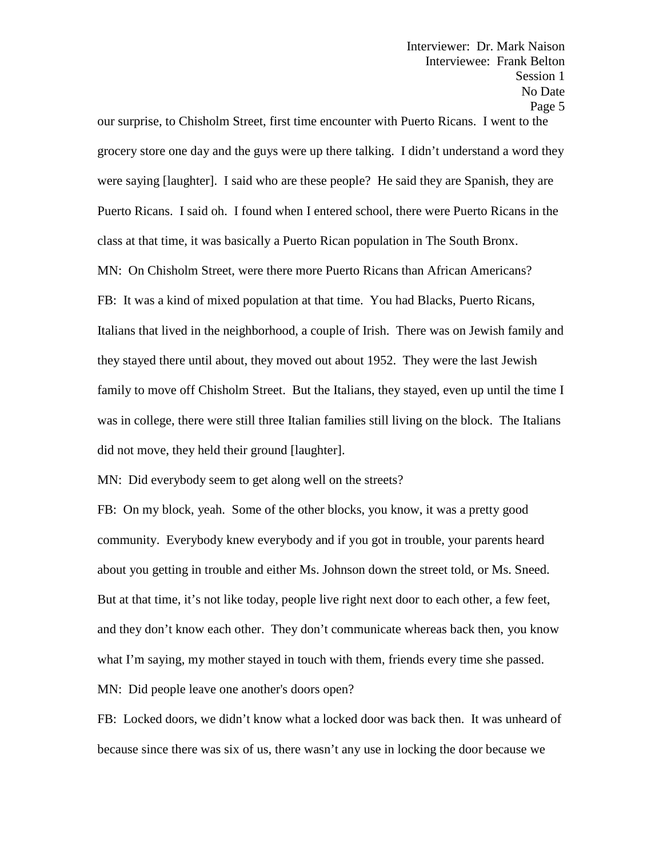our surprise, to Chisholm Street, first time encounter with Puerto Ricans. I went to the grocery store one day and the guys were up there talking. I didn't understand a word they were saying [laughter]. I said who are these people? He said they are Spanish, they are Puerto Ricans. I said oh. I found when I entered school, there were Puerto Ricans in the class at that time, it was basically a Puerto Rican population in The South Bronx. MN: On Chisholm Street, were there more Puerto Ricans than African Americans? FB: It was a kind of mixed population at that time. You had Blacks, Puerto Ricans, Italians that lived in the neighborhood, a couple of Irish. There was on Jewish family and they stayed there until about, they moved out about 1952. They were the last Jewish family to move off Chisholm Street. But the Italians, they stayed, even up until the time I was in college, there were still three Italian families still living on the block. The Italians did not move, they held their ground [laughter].

MN: Did everybody seem to get along well on the streets?

FB: On my block, yeah. Some of the other blocks, you know, it was a pretty good community. Everybody knew everybody and if you got in trouble, your parents heard about you getting in trouble and either Ms. Johnson down the street told, or Ms. Sneed. But at that time, it's not like today, people live right next door to each other, a few feet, and they don't know each other. They don't communicate whereas back then, you know what I'm saying, my mother stayed in touch with them, friends every time she passed. MN: Did people leave one another's doors open?

FB: Locked doors, we didn't know what a locked door was back then. It was unheard of because since there was six of us, there wasn't any use in locking the door because we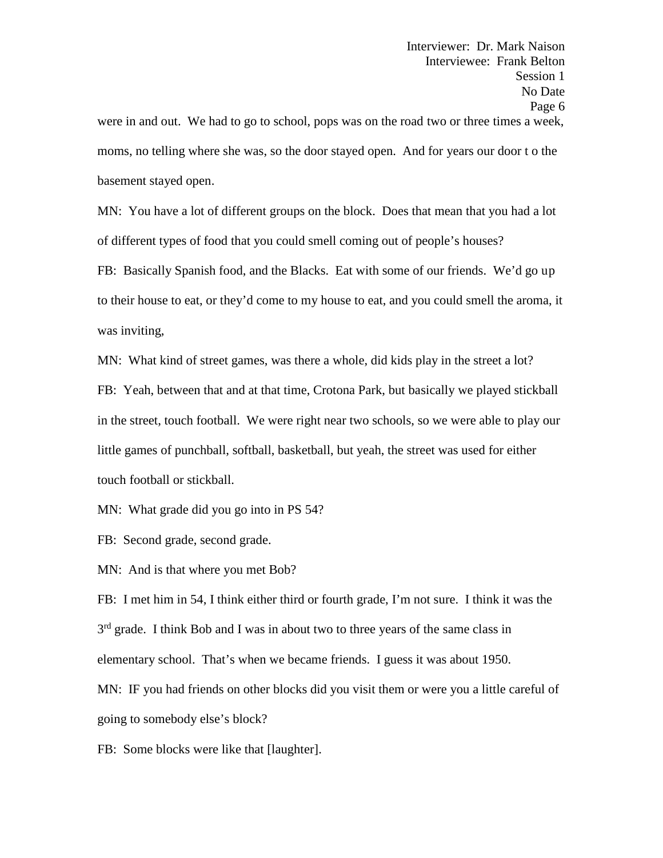basement stayed open.

MN: You have a lot of different groups on the block. Does that mean that you had a lot of different types of food that you could smell coming out of people's houses?

FB: Basically Spanish food, and the Blacks. Eat with some of our friends. We'd go up to their house to eat, or they'd come to my house to eat, and you could smell the aroma, it was inviting,

MN: What kind of street games, was there a whole, did kids play in the street a lot? FB: Yeah, between that and at that time, Crotona Park, but basically we played stickball in the street, touch football. We were right near two schools, so we were able to play our little games of punchball, softball, basketball, but yeah, the street was used for either touch football or stickball.

MN: What grade did you go into in PS 54?

FB: Second grade, second grade.

MN: And is that where you met Bob?

FB: I met him in 54, I think either third or fourth grade, I'm not sure. I think it was the 3<sup>rd</sup> grade. I think Bob and I was in about two to three years of the same class in elementary school. That's when we became friends. I guess it was about 1950.

MN: IF you had friends on other blocks did you visit them or were you a little careful of going to somebody else's block?

FB: Some blocks were like that [laughter].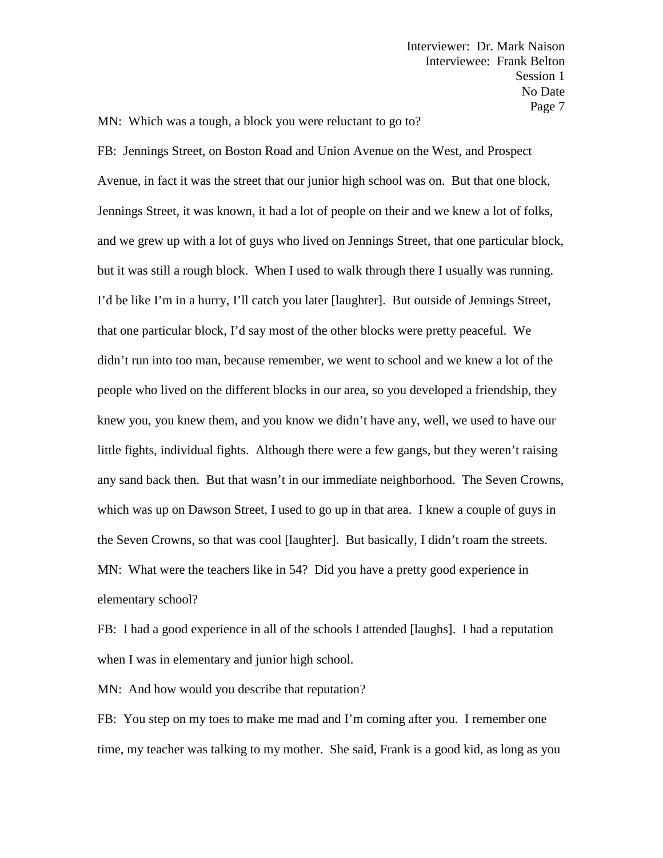MN: Which was a tough, a block you were reluctant to go to?

FB: Jennings Street, on Boston Road and Union Avenue on the West, and Prospect Avenue, in fact it was the street that our junior high school was on. But that one block, Jennings Street, it was known, it had a lot of people on their and we knew a lot of folks, and we grew up with a lot of guys who lived on Jennings Street, that one particular block, but it was still a rough block. When I used to walk through there I usually was running. I'd be like I'm in a hurry, I'll catch you later [laughter]. But outside of Jennings Street, that one particular block, I'd say most of the other blocks were pretty peaceful. We didn't run into too man, because remember, we went to school and we knew a lot of the people who lived on the different blocks in our area, so you developed a friendship, they knew you, you knew them, and you know we didn't have any, well, we used to have our little fights, individual fights. Although there were a few gangs, but they weren't raising any sand back then. But that wasn't in our immediate neighborhood. The Seven Crowns, which was up on Dawson Street, I used to go up in that area. I knew a couple of guys in the Seven Crowns, so that was cool [laughter]. But basically, I didn't roam the streets. MN: What were the teachers like in 54? Did you have a pretty good experience in elementary school?

FB: I had a good experience in all of the schools I attended [laughs]. I had a reputation when I was in elementary and junior high school.

MN: And how would you describe that reputation?

FB: You step on my toes to make me mad and I'm coming after you. I remember one time, my teacher was talking to my mother. She said, Frank is a good kid, as long as you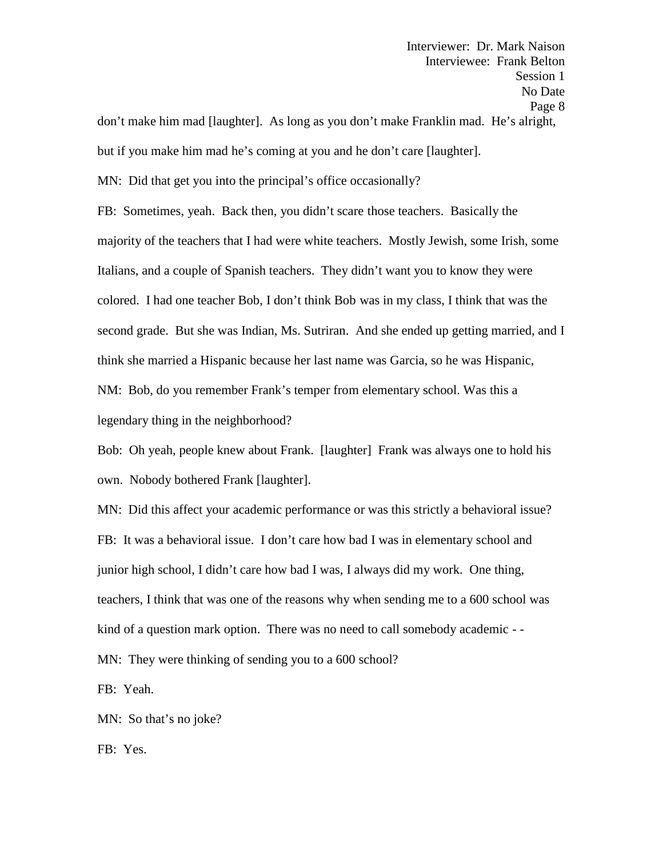don't make him mad [laughter]. As long as you don't make Franklin mad. He's alright, but if you make him mad he's coming at you and he don't care [laughter].

MN: Did that get you into the principal's office occasionally?

FB: Sometimes, yeah. Back then, you didn't scare those teachers. Basically the majority of the teachers that I had were white teachers. Mostly Jewish, some Irish, some Italians, and a couple of Spanish teachers. They didn't want you to know they were colored. I had one teacher Bob, I don't think Bob was in my class, I think that was the second grade. But she was Indian, Ms. Sutriran. And she ended up getting married, and I think she married a Hispanic because her last name was Garcia, so he was Hispanic, NM: Bob, do you remember Frank's temper from elementary school. Was this a legendary thing in the neighborhood?

Bob: Oh yeah, people knew about Frank. [laughter] Frank was always one to hold his own. Nobody bothered Frank [laughter].

MN: Did this affect your academic performance or was this strictly a behavioral issue? FB: It was a behavioral issue. I don't care how bad I was in elementary school and junior high school, I didn't care how bad I was, I always did my work. One thing, teachers, I think that was one of the reasons why when sending me to a 600 school was kind of a question mark option. There was no need to call somebody academic - -

MN: They were thinking of sending you to a 600 school?

FB: Yeah.

MN: So that's no joke?

FB: Yes.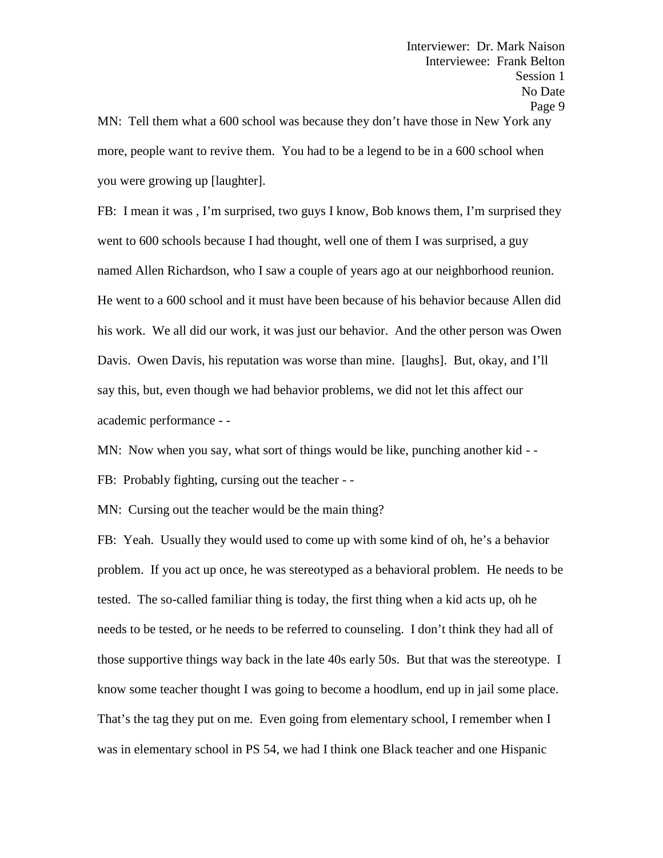more, people want to revive them. You had to be a legend to be in a 600 school when you were growing up [laughter].

FB: I mean it was , I'm surprised, two guys I know, Bob knows them, I'm surprised they went to 600 schools because I had thought, well one of them I was surprised, a guy named Allen Richardson, who I saw a couple of years ago at our neighborhood reunion. He went to a 600 school and it must have been because of his behavior because Allen did his work. We all did our work, it was just our behavior. And the other person was Owen Davis. Owen Davis, his reputation was worse than mine. [laughs]. But, okay, and I'll say this, but, even though we had behavior problems, we did not let this affect our academic performance - -

MN: Now when you say, what sort of things would be like, punching another kid - -<br>FB: Probably fighting, cursing out the teacher - -

MN: Cursing out the teacher would be the main thing?

FB: Yeah. Usually they would used to come up with some kind of oh, he's a behavior problem. If you act up once, he was stereotyped as a behavioral problem. He needs to be tested. The so-called familiar thing is today, the first thing when a kid acts up, oh he needs to be tested, or he needs to be referred to counseling. I don't think they had all of those supportive things way back in the late 40s early 50s. But that was the stereotype. I know some teacher thought I was going to become a hoodlum, end up in jail some place. That's the tag they put on me. Even going from elementary school, I remember when I was in elementary school in PS 54, we had I think one Black teacher and one Hispanic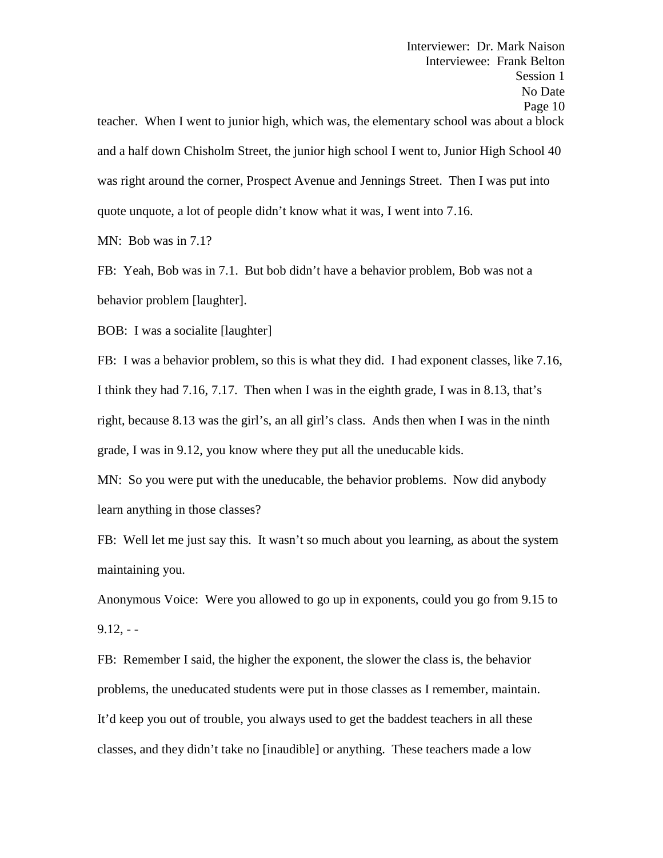Interviewer: Dr. Mark Naison Interviewee: Frank Belton Session 1 No Date Page 10 teacher. When I went to junior high, which was, the elementary school was about a block and a half down Chisholm Street, the junior high school I went to, Junior High School 40 was right around the corner, Prospect Avenue and Jennings Street. Then I was put into quote unquote, a lot of people didn't know what it was, I went into 7.16.

MN: Bob was in 7.1?

FB: Yeah, Bob was in 7.1. But bob didn't have a behavior problem, Bob was not a behavior problem [laughter].

BOB: I was a socialite [laughter]

FB: I was a behavior problem, so this is what they did. I had exponent classes, like 7.16, I think they had 7.16, 7.17. Then when I was in the eighth grade, I was in 8.13, that's right, because 8.13 was the girl's, an all girl's class. Ands then when I was in the ninth grade, I was in 9.12, you know where they put all the uneducable kids.

MN: So you were put with the uneducable, the behavior problems. Now did anybody learn anything in those classes?

FB: Well let me just say this. It wasn't so much about you learning, as about the system maintaining you.

Anonymous Voice: Were you allowed to go up in exponents, could you go from 9.15 to  $9.12. - -$ 

FB: Remember I said, the higher the exponent, the slower the class is, the behavior problems, the uneducated students were put in those classes as I remember, maintain. It'd keep you out of trouble, you always used to get the baddest teachers in all these classes, and they didn't take no [inaudible] or anything. These teachers made a low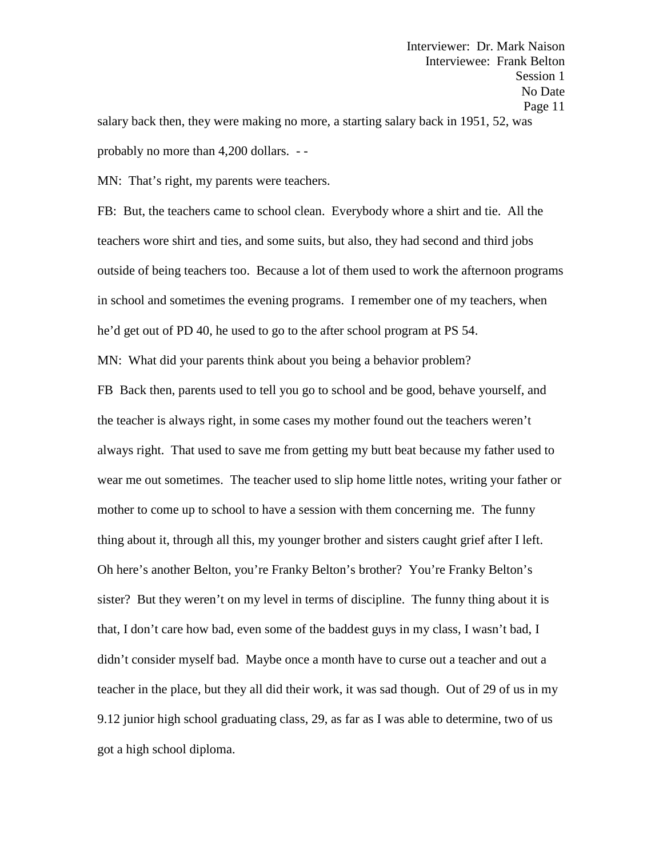Interviewer: Dr. Mark Naison Interviewee: Frank Belton Session 1 No Date Page 11 salary back then, they were making no more, a starting salary back in 1951, 52, was probably no more than 4,200 dollars. - -

MN: That's right, my parents were teachers.

FB: But, the teachers came to school clean. Everybody whore a shirt and tie. All the teachers wore shirt and ties, and some suits, but also, they had second and third jobs outside of being teachers too. Because a lot of them used to work the afternoon programs in school and sometimes the evening programs. I remember one of my teachers, when he'd get out of PD 40, he used to go to the after school program at PS 54.

MN: What did your parents think about you being a behavior problem?

FB Back then, parents used to tell you go to school and be good, behave yourself, and the teacher is always right, in some cases my mother found out the teachers weren't always right. That used to save me from getting my butt beat because my father used to wear me out sometimes. The teacher used to slip home little notes, writing your father or mother to come up to school to have a session with them concerning me. The funny thing about it, through all this, my younger brother and sisters caught grief after I left. Oh here's another Belton, you're Franky Belton's brother? You're Franky Belton's sister? But they weren't on my level in terms of discipline. The funny thing about it is that, I don't care how bad, even some of the baddest guys in my class, I wasn't bad, I didn't consider myself bad. Maybe once a month have to curse out a teacher and out a teacher in the place, but they all did their work, it was sad though. Out of 29 of us in my 9.12 junior high school graduating class, 29, as far as I was able to determine, two of us got a high school diploma.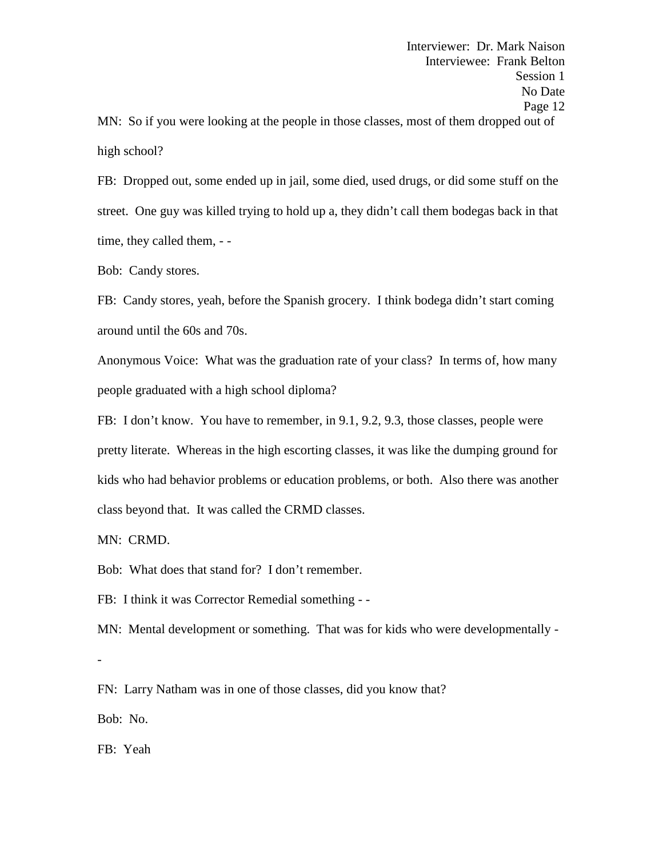FB: Dropped out, some ended up in jail, some died, used drugs, or did some stuff on the street. One guy was killed trying to hold up a, they didn't call them bodegas back in that time, they called them, - -

Bob: Candy stores.

FB: Candy stores, yeah, before the Spanish grocery. I think bodega didn't start coming around until the 60s and 70s.

Anonymous Voice: What was the graduation rate of your class? In terms of, how many people graduated with a high school diploma?

FB: I don't know. You have to remember, in 9.1, 9.2, 9.3, those classes, people were pretty literate. Whereas in the high escorting classes, it was like the dumping ground for kids who had behavior problems or education problems, or both. Also there was another class beyond that. It was called the CRMD classes.

MN: CRMD.

Bob: What does that stand for? I don't remember.

FB: I think it was Corrector Remedial something - -

MN: Mental development or something. That was for kids who were developmentally -

-<br>FN: Larry Natham was in one of those classes, did you know that?

Bob: No.

FB: Yeah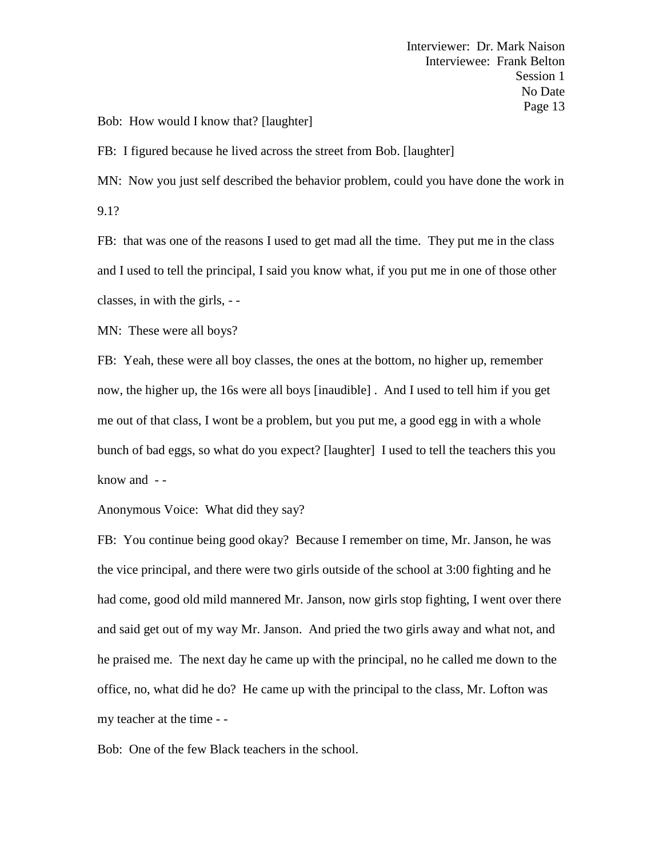Bob: How would I know that? [laughter]

FB: I figured because he lived across the street from Bob. [laughter]

MN: Now you just self described the behavior problem, could you have done the work in 9.1?

FB: that was one of the reasons I used to get mad all the time. They put me in the class and I used to tell the principal, I said you know what, if you put me in one of those other classes, in with the girls, - -

MN: These were all boys?

FB: Yeah, these were all boy classes, the ones at the bottom, no higher up, remember now, the higher up, the 16s were all boys [inaudible] . And I used to tell him if you get me out of that class, I wont be a problem, but you put me, a good egg in with a whole bunch of bad eggs, so what do you expect? [laughter] I used to tell the teachers this you know and - -

Anonymous Voice: What did they say?

FB: You continue being good okay? Because I remember on time, Mr. Janson, he was the vice principal, and there were two girls outside of the school at 3:00 fighting and he had come, good old mild mannered Mr. Janson, now girls stop fighting, I went over there and said get out of my way Mr. Janson. And pried the two girls away and what not, and he praised me. The next day he came up with the principal, no he called me down to the office, no, what did he do? He came up with the principal to the class, Mr. Lofton was my teacher at the time - -

Bob: One of the few Black teachers in the school.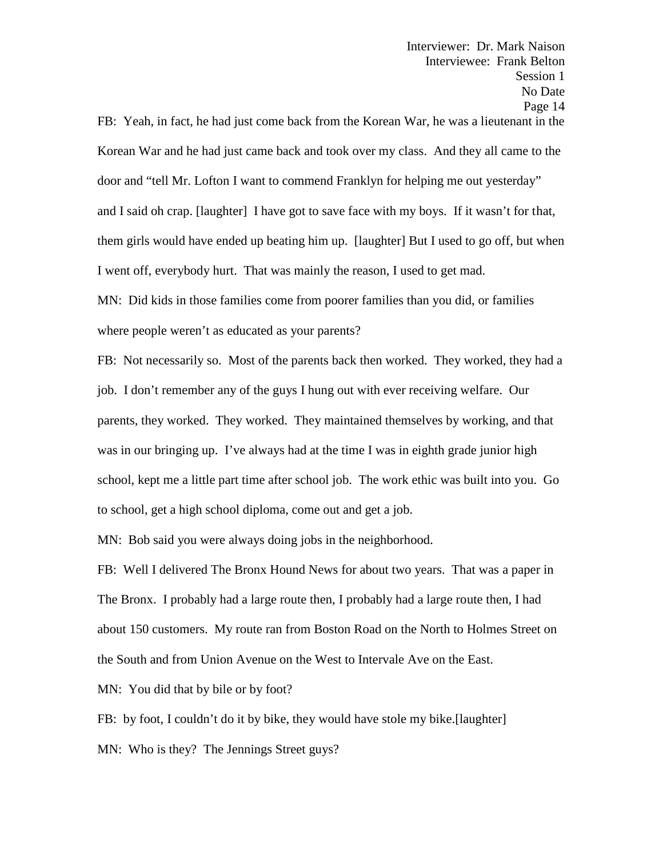Interviewer: Dr. Mark Naison Interviewee: Frank Belton Session 1 No Date Page 14 FB: Yeah, in fact, he had just come back from the Korean War, he was a lieutenant in the Korean War and he had just came back and took over my class. And they all came to the

door and "tell Mr. Lofton I want to commend Franklyn for helping me out yesterday" and I said oh crap. [laughter] I have got to save face with my boys. If it wasn't for that, them girls would have ended up beating him up. [laughter] But I used to go off, but when I went off, everybody hurt. That was mainly the reason, I used to get mad.

MN: Did kids in those families come from poorer families than you did, or families where people weren't as educated as your parents?

FB: Not necessarily so. Most of the parents back then worked. They worked, they had a job. I don't remember any of the guys I hung out with ever receiving welfare. Our parents, they worked. They worked. They maintained themselves by working, and that was in our bringing up. I've always had at the time I was in eighth grade junior high school, kept me a little part time after school job. The work ethic was built into you. Go to school, get a high school diploma, come out and get a job.

MN: Bob said you were always doing jobs in the neighborhood.

FB: Well I delivered The Bronx Hound News for about two years. That was a paper in The Bronx. I probably had a large route then, I probably had a large route then, I had about 150 customers. My route ran from Boston Road on the North to Holmes Street on the South and from Union Avenue on the West to Intervale Ave on the East.

MN: You did that by bile or by foot?

FB: by foot, I couldn't do it by bike, they would have stole my bike.[laughter]

MN: Who is they? The Jennings Street guys?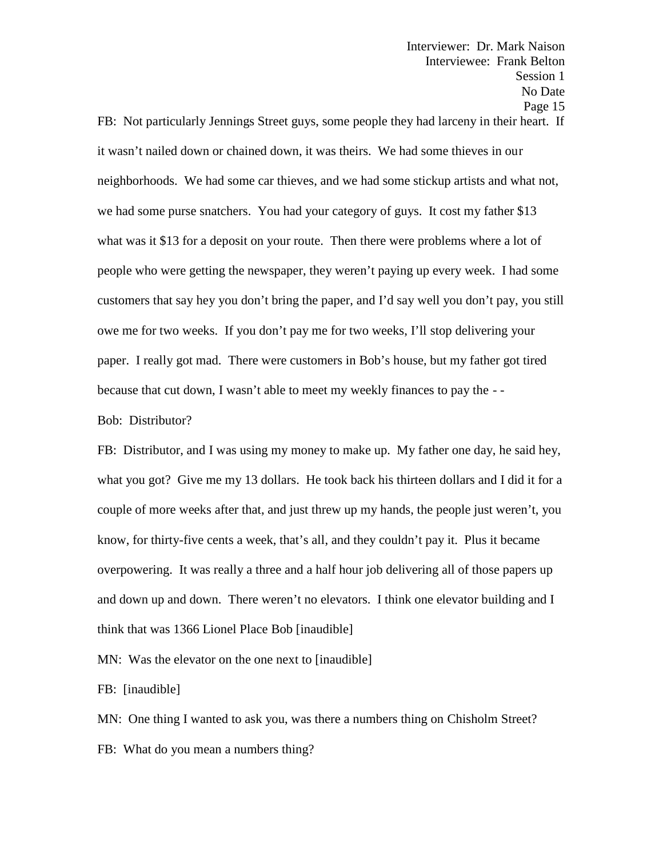Interviewer: Dr. Mark Naison Interviewee: Frank Belton Session 1 No Date Page 15 FB: Not particularly Jennings Street guys, some people they had larceny in their heart. If it wasn't nailed down or chained down, it was theirs. We had some thieves in our neighborhoods. We had some car thieves, and we had some stickup artists and what not, we had some purse snatchers. You had your category of guys. It cost my father \$13 what was it \$13 for a deposit on your route. Then there were problems where a lot of people who were getting the newspaper, they weren't paying up every week. I had some customers that say hey you don't bring the paper, and I'd say well you don't pay, you still owe me for two weeks. If you don't pay me for two weeks, I'll stop delivering your paper. I really got mad. There were customers in Bob's house, but my father got tired because that cut down, I wasn't able to meet my weekly finances to pay the - -

Bob: Distributor?

FB: Distributor, and I was using my money to make up. My father one day, he said hey, what you got? Give me my 13 dollars. He took back his thirteen dollars and I did it for a couple of more weeks after that, and just threw up my hands, the people just weren't, you know, for thirty-five cents a week, that's all, and they couldn't pay it. Plus it became overpowering. It was really a three and a half hour job delivering all of those papers up and down up and down. There weren't no elevators. I think one elevator building and I think that was 1366 Lionel Place Bob [inaudible]

MN: Was the elevator on the one next to [inaudible]

FB: [inaudible]

MN: One thing I wanted to ask you, was there a numbers thing on Chisholm Street? FB: What do you mean a numbers thing?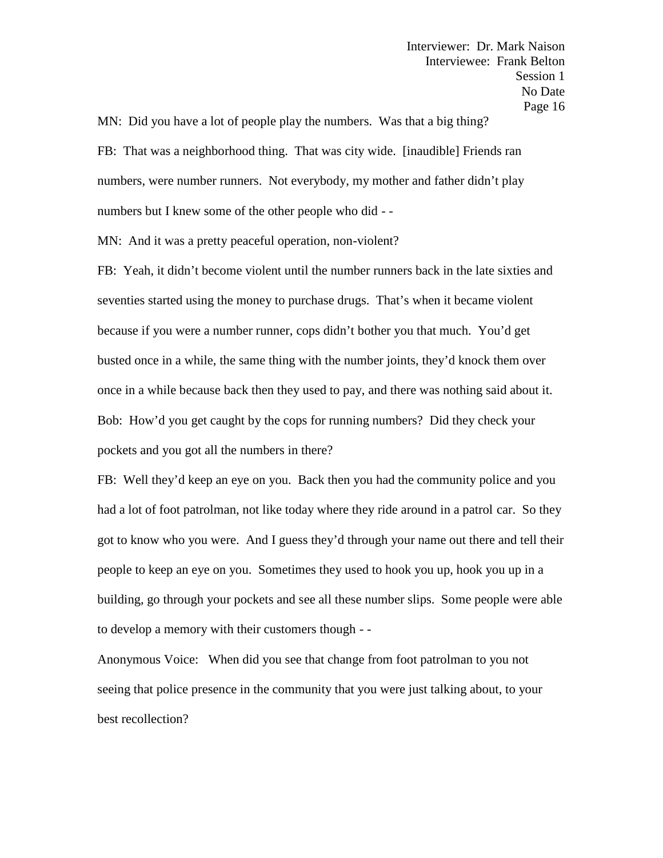MN: Did you have a lot of people play the numbers. Was that a big thing? FB: That was a neighborhood thing. That was city wide. [inaudible] Friends ran numbers, were number runners. Not everybody, my mother and father didn't play numbers but I knew some of the other people who did - -<br>MN: And it was a pretty peaceful operation, non-violent?

FB: Yeah, it didn't become violent until the number runners back in the late sixties and seventies started using the money to purchase drugs. That's when it became violent because if you were a number runner, cops didn't bother you that much. You'd get busted once in a while, the same thing with the number joints, they'd knock them over once in a while because back then they used to pay, and there was nothing said about it. Bob: How'd you get caught by the cops for running numbers? Did they check your pockets and you got all the numbers in there?

FB: Well they'd keep an eye on you. Back then you had the community police and you had a lot of foot patrolman, not like today where they ride around in a patrol car. So they got to know who you were. And I guess they'd through your name out there and tell their people to keep an eye on you. Sometimes they used to hook you up, hook you up in a building, go through your pockets and see all these number slips. Some people were able to develop a memory with their customers though - -

Anonymous Voice: When did you see that change from foot patrolman to you not seeing that police presence in the community that you were just talking about, to your best recollection?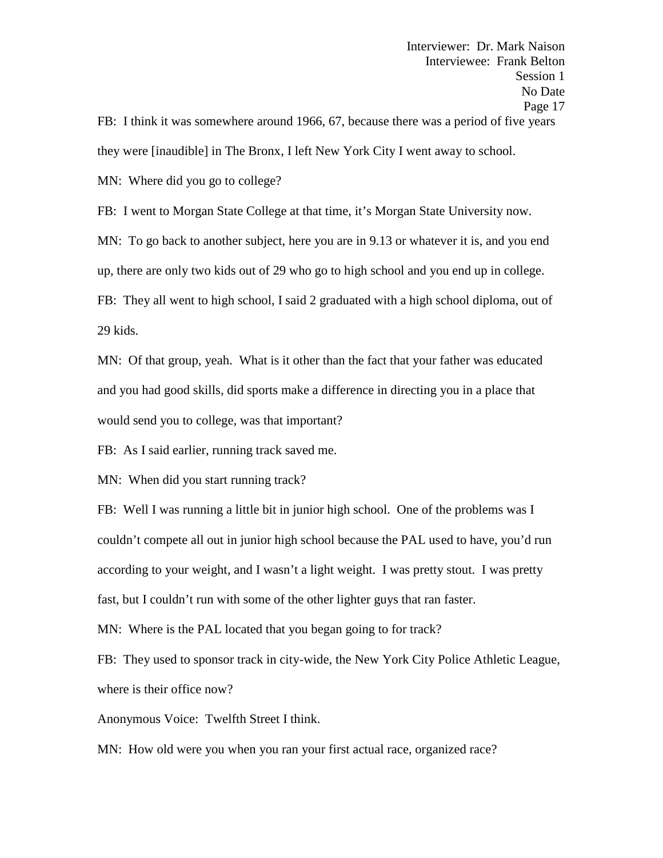they were [inaudible] in The Bronx, I left New York City I went away to school.

MN: Where did you go to college?

FB: I went to Morgan State College at that time, it's Morgan State University now.

MN: To go back to another subject, here you are in 9.13 or whatever it is, and you end

up, there are only two kids out of 29 who go to high school and you end up in college.

FB: They all went to high school, I said 2 graduated with a high school diploma, out of 29 kids.

MN: Of that group, yeah. What is it other than the fact that your father was educated and you had good skills, did sports make a difference in directing you in a place that would send you to college, was that important?

FB: As I said earlier, running track saved me.

MN: When did you start running track?

FB: Well I was running a little bit in junior high school. One of the problems was I couldn't compete all out in junior high school because the PAL used to have, you'd run according to your weight, and I wasn't a light weight. I was pretty stout. I was pretty fast, but I couldn't run with some of the other lighter guys that ran faster.

MN: Where is the PAL located that you began going to for track?

FB: They used to sponsor track in city-wide, the New York City Police Athletic League, where is their office now?

Anonymous Voice: Twelfth Street I think.

MN: How old were you when you ran your first actual race, organized race?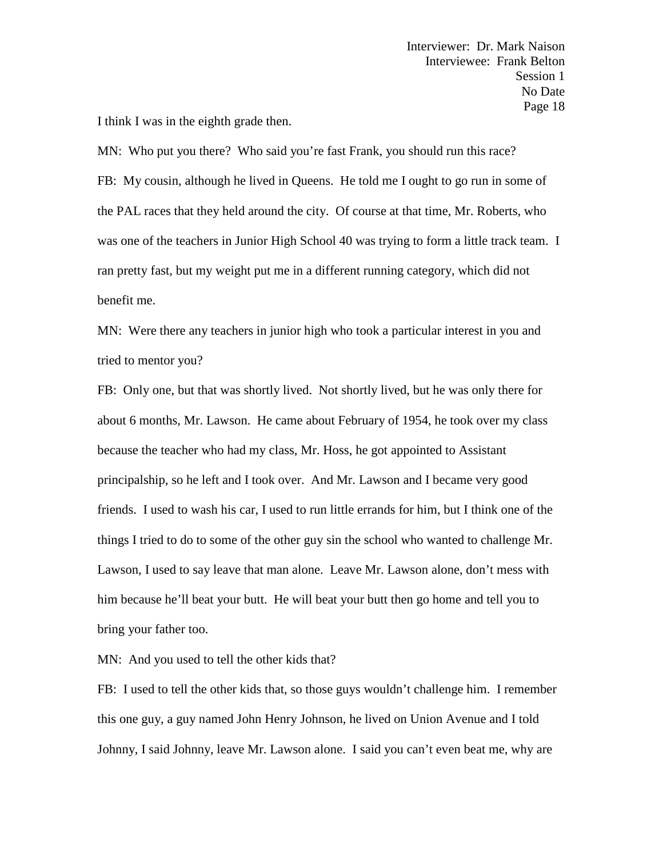I think I was in the eighth grade then.

MN: Who put you there? Who said you're fast Frank, you should run this race? FB: My cousin, although he lived in Queens. He told me I ought to go run in some of the PAL races that they held around the city. Of course at that time, Mr. Roberts, who was one of the teachers in Junior High School 40 was trying to form a little track team. I ran pretty fast, but my weight put me in a different running category, which did not benefit me.

MN: Were there any teachers in junior high who took a particular interest in you and tried to mentor you?

FB: Only one, but that was shortly lived. Not shortly lived, but he was only there for about 6 months, Mr. Lawson. He came about February of 1954, he took over my class because the teacher who had my class, Mr. Hoss, he got appointed to Assistant principalship, so he left and I took over. And Mr. Lawson and I became very good friends. I used to wash his car, I used to run little errands for him, but I think one of the things I tried to do to some of the other guy sin the school who wanted to challenge Mr. Lawson, I used to say leave that man alone. Leave Mr. Lawson alone, don't mess with him because he'll beat your butt. He will beat your butt then go home and tell you to bring your father too.

MN: And you used to tell the other kids that?

FB: I used to tell the other kids that, so those guys wouldn't challenge him. I remember this one guy, a guy named John Henry Johnson, he lived on Union Avenue and I told Johnny, I said Johnny, leave Mr. Lawson alone. I said you can't even beat me, why are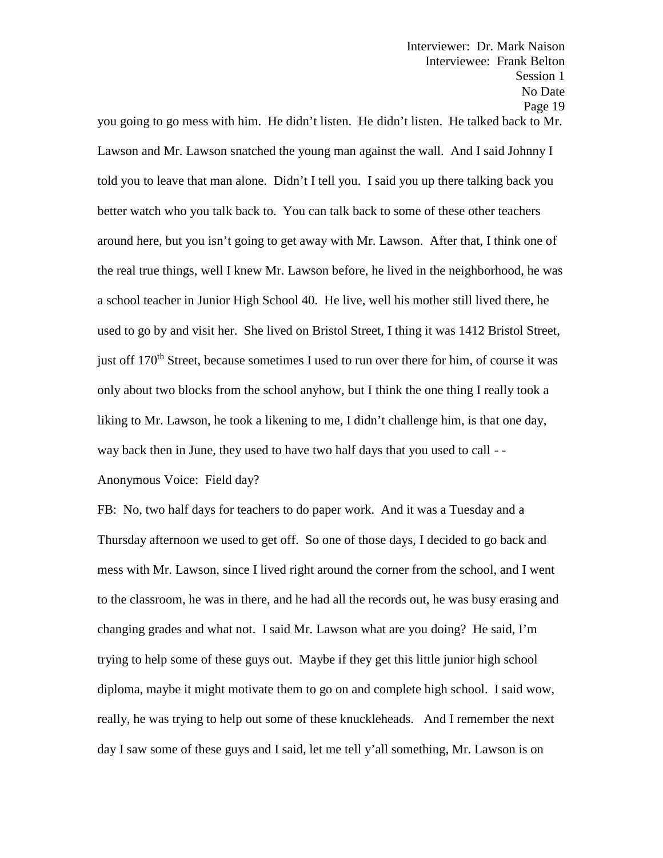you going to go mess with him. He didn't listen. He didn't listen. He talked back to Mr. Lawson and Mr. Lawson snatched the young man against the wall. And I said Johnny I told you to leave that man alone. Didn't I tell you. I said you up there talking back you better watch who you talk back to. You can talk back to some of these other teachers around here, but you isn't going to get away with Mr. Lawson. After that, I think one of the real true things, well I knew Mr. Lawson before, he lived in the neighborhood, he was a school teacher in Junior High School 40. He live, well his mother still lived there, he used to go by and visit her. She lived on Bristol Street, I thing it was 1412 Bristol Street, just off 170<sup>th</sup> Street, because sometimes I used to run over there for him, of course it was only about two blocks from the school anyhow, but I think the one thing I really took a liking to Mr. Lawson, he took a likening to me, I didn't challenge him, is that one day, way back then in June, they used to have two half days that you used to call - -

Anonymous Voice: Field day?

FB: No, two half days for teachers to do paper work. And it was a Tuesday and a Thursday afternoon we used to get off. So one of those days, I decided to go back and mess with Mr. Lawson, since I lived right around the corner from the school, and I went to the classroom, he was in there, and he had all the records out, he was busy erasing and changing grades and what not. I said Mr. Lawson what are you doing? He said, I'm trying to help some of these guys out. Maybe if they get this little junior high school diploma, maybe it might motivate them to go on and complete high school. I said wow, really, he was trying to help out some of these knuckleheads. And I remember the next day I saw some of these guys and I said, let me tell y'all something, Mr. Lawson is on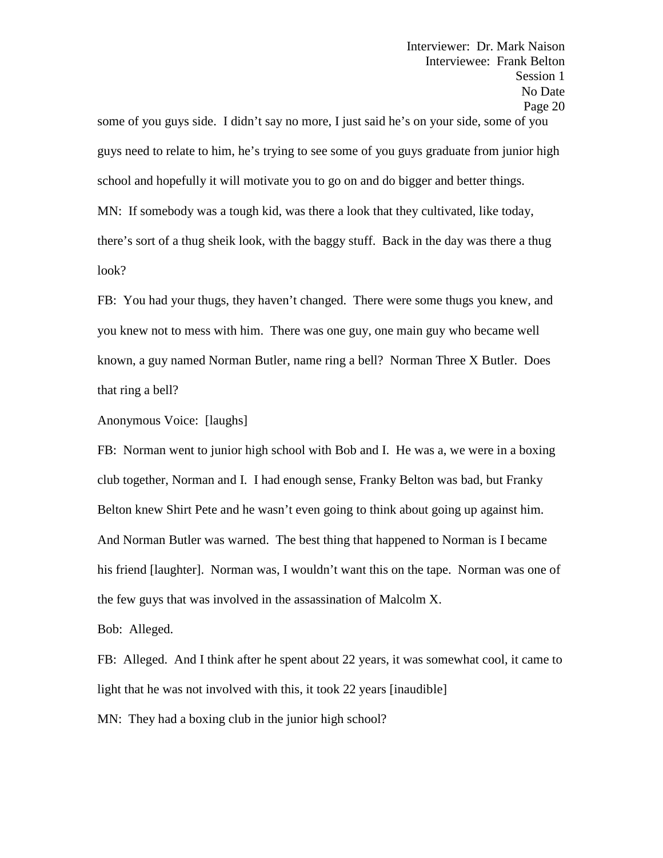some of you guys side. I didn't say no more, I just said he's on your side, some of you guys need to relate to him, he's trying to see some of you guys graduate from junior high school and hopefully it will motivate you to go on and do bigger and better things. MN: If somebody was a tough kid, was there a look that they cultivated, like today, there's sort of a thug sheik look, with the baggy stuff. Back in the day was there a thug look?

FB: You had your thugs, they haven't changed. There were some thugs you knew, and you knew not to mess with him. There was one guy, one main guy who became well known, a guy named Norman Butler, name ring a bell? Norman Three X Butler. Does that ring a bell?

Anonymous Voice: [laughs]

FB: Norman went to junior high school with Bob and I. He was a, we were in a boxing club together, Norman and I. I had enough sense, Franky Belton was bad, but Franky Belton knew Shirt Pete and he wasn't even going to think about going up against him. And Norman Butler was warned. The best thing that happened to Norman is I became his friend [laughter]. Norman was, I wouldn't want this on the tape. Norman was one of the few guys that was involved in the assassination of Malcolm X.

Bob: Alleged.

FB: Alleged. And I think after he spent about 22 years, it was somewhat cool, it came to light that he was not involved with this, it took 22 years [inaudible] MN: They had a boxing club in the junior high school?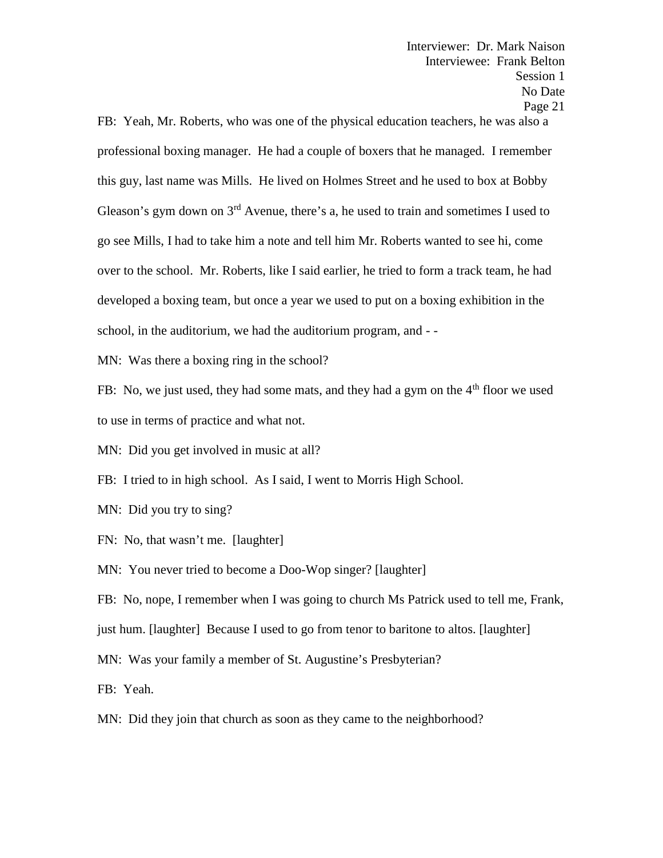FB: Yeah, Mr. Roberts, who was one of the physical education teachers, he was also a professional boxing manager. He had a couple of boxers that he managed. I remember this guy, last name was Mills. He lived on Holmes Street and he used to box at Bobby Gleason's gym down on  $3<sup>rd</sup>$  Avenue, there's a, he used to train and sometimes I used to go see Mills, I had to take him a note and tell him Mr. Roberts wanted to see hi, come over to the school. Mr. Roberts, like I said earlier, he tried to form a track team, he had developed a boxing team, but once a year we used to put on a boxing exhibition in the school, in the auditorium, we had the auditorium program, and - -<br>MN: Was there a boxing ring in the school?

FB: No, we just used, they had some mats, and they had a gym on the  $4<sup>th</sup>$  floor we used to use in terms of practice and what not.

MN: Did you get involved in music at all?

FB: I tried to in high school. As I said, I went to Morris High School.

MN: Did you try to sing?

FN: No, that wasn't me. [laughter]

MN: You never tried to become a Doo-Wop singer? [laughter]

FB: No, nope, I remember when I was going to church Ms Patrick used to tell me, Frank,

just hum. [laughter] Because I used to go from tenor to baritone to altos. [laughter]

MN: Was your family a member of St. Augustine's Presbyterian?

FB: Yeah.

MN: Did they join that church as soon as they came to the neighborhood?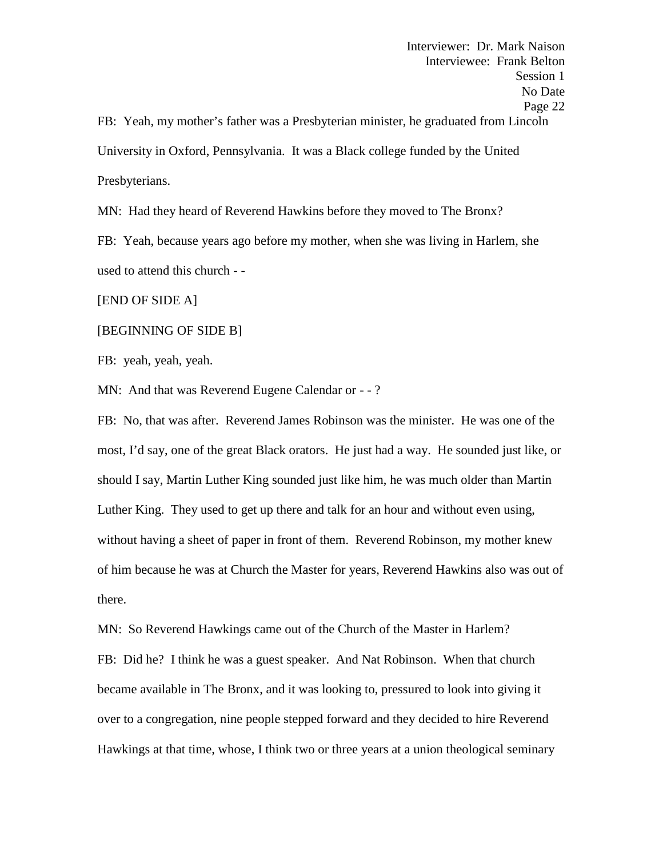Interviewer: Dr. Mark Naison Interviewee: Frank Belton Session 1 No Date Page 22 FB: Yeah, my mother's father was a Presbyterian minister, he graduated from Lincoln University in Oxford, Pennsylvania. It was a Black college funded by the United Presbyterians.

MN: Had they heard of Reverend Hawkins before they moved to The Bronx?

FB: Yeah, because years ago before my mother, when she was living in Harlem, she used to attend this church - -

[END OF SIDE A]

## [BEGINNING OF SIDE B]

FB: yeah, yeah, yeah.

MN: And that was Reverend Eugene Calendar or - -?

FB: No, that was after. Reverend James Robinson was the minister. He was one of the most, I'd say, one of the great Black orators. He just had a way. He sounded just like, or should I say, Martin Luther King sounded just like him, he was much older than Martin Luther King. They used to get up there and talk for an hour and without even using, without having a sheet of paper in front of them. Reverend Robinson, my mother knew of him because he was at Church the Master for years, Reverend Hawkins also was out of there.

MN: So Reverend Hawkings came out of the Church of the Master in Harlem? FB: Did he? I think he was a guest speaker. And Nat Robinson. When that church became available in The Bronx, and it was looking to, pressured to look into giving it over to a congregation, nine people stepped forward and they decided to hire Reverend Hawkings at that time, whose, I think two or three years at a union theological seminary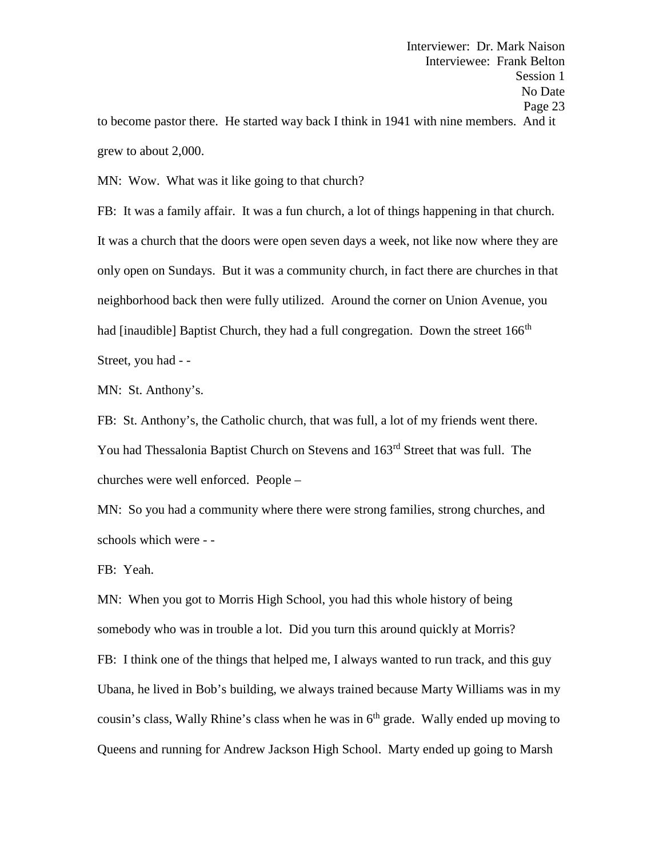MN: Wow. What was it like going to that church?

FB: It was a family affair. It was a fun church, a lot of things happening in that church. It was a church that the doors were open seven days a week, not like now where they are only open on Sundays. But it was a community church, in fact there are churches in that neighborhood back then were fully utilized. Around the corner on Union Avenue, you had [inaudible] Baptist Church, they had a full congregation. Down the street  $166<sup>th</sup>$ Street, you had - -

MN: St. Anthony's.

FB: St. Anthony's, the Catholic church, that was full, a lot of my friends went there. You had Thessalonia Baptist Church on Stevens and 163rd Street that was full. The churches were well enforced. People –

MN: So you had a community where there were strong families, strong churches, and schools which were - -

FB: Yeah.

MN: When you got to Morris High School, you had this whole history of being somebody who was in trouble a lot. Did you turn this around quickly at Morris? FB: I think one of the things that helped me, I always wanted to run track, and this guy Ubana, he lived in Bob's building, we always trained because Marty Williams was in my cousin's class, Wally Rhine's class when he was in  $6<sup>th</sup>$  grade. Wally ended up moving to Queens and running for Andrew Jackson High School. Marty ended up going to Marsh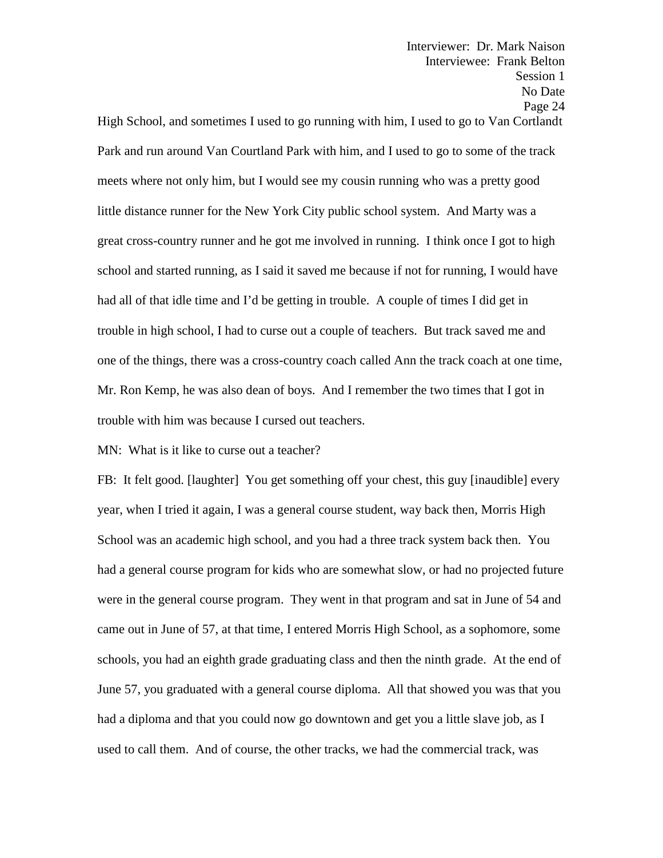Interviewer: Dr. Mark Naison Interviewee: Frank Belton Session 1 No Date Page 24 High School, and sometimes I used to go running with him, I used to go to Van Cortlandt Park and run around Van Courtland Park with him, and I used to go to some of the track meets where not only him, but I would see my cousin running who was a pretty good little distance runner for the New York City public school system. And Marty was a great cross-country runner and he got me involved in running. I think once I got to high school and started running, as I said it saved me because if not for running, I would have had all of that idle time and I'd be getting in trouble. A couple of times I did get in

one of the things, there was a cross-country coach called Ann the track coach at one time, Mr. Ron Kemp, he was also dean of boys. And I remember the two times that I got in trouble with him was because I cursed out teachers.

trouble in high school, I had to curse out a couple of teachers. But track saved me and

MN: What is it like to curse out a teacher?

FB: It felt good. [laughter] You get something off your chest, this guy [inaudible] every year, when I tried it again, I was a general course student, way back then, Morris High School was an academic high school, and you had a three track system back then. You had a general course program for kids who are somewhat slow, or had no projected future were in the general course program. They went in that program and sat in June of 54 and came out in June of 57, at that time, I entered Morris High School, as a sophomore, some schools, you had an eighth grade graduating class and then the ninth grade. At the end of June 57, you graduated with a general course diploma. All that showed you was that you had a diploma and that you could now go downtown and get you a little slave job, as I used to call them. And of course, the other tracks, we had the commercial track, was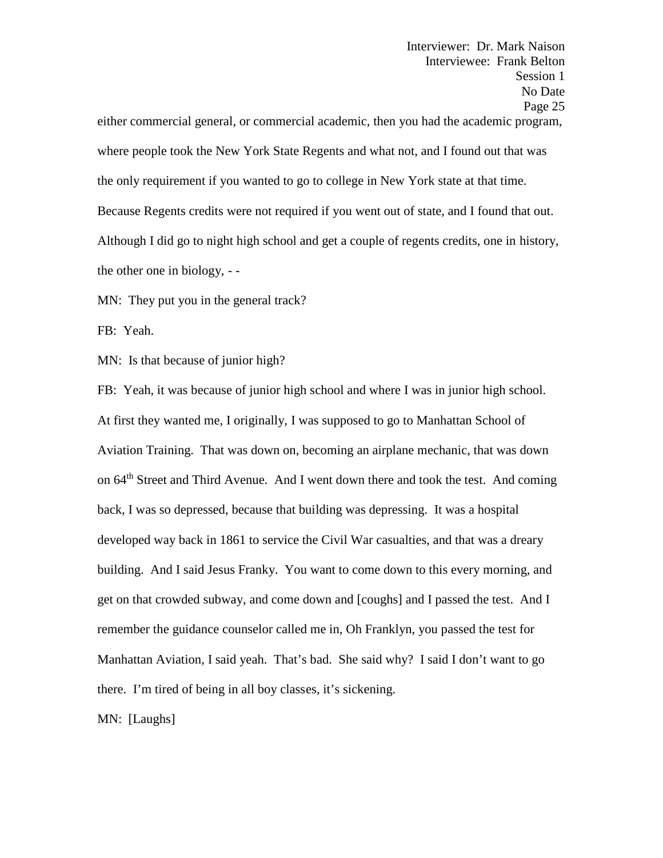Interviewer: Dr. Mark Naison Interviewee: Frank Belton Session 1 No Date Page 25 either commercial general, or commercial academic, then you had the academic program, where people took the New York State Regents and what not, and I found out that was the only requirement if you wanted to go to college in New York state at that time. Because Regents credits were not required if you went out of state, and I found that out. Although I did go to night high school and get a couple of regents credits, one in history, the other one in biology, - -

MN: They put you in the general track?

FB: Yeah.

MN: Is that because of junior high?

FB: Yeah, it was because of junior high school and where I was in junior high school. At first they wanted me, I originally, I was supposed to go to Manhattan School of Aviation Training. That was down on, becoming an airplane mechanic, that was down on 64<sup>th</sup> Street and Third Avenue. And I went down there and took the test. And coming back, I was so depressed, because that building was depressing. It was a hospital developed way back in 1861 to service the Civil War casualties, and that was a dreary building. And I said Jesus Franky. You want to come down to this every morning, and get on that crowded subway, and come down and [coughs] and I passed the test. And I remember the guidance counselor called me in, Oh Franklyn, you passed the test for Manhattan Aviation, I said yeah. That's bad. She said why? I said I don't want to go there. I'm tired of being in all boy classes, it's sickening.

MN: [Laughs]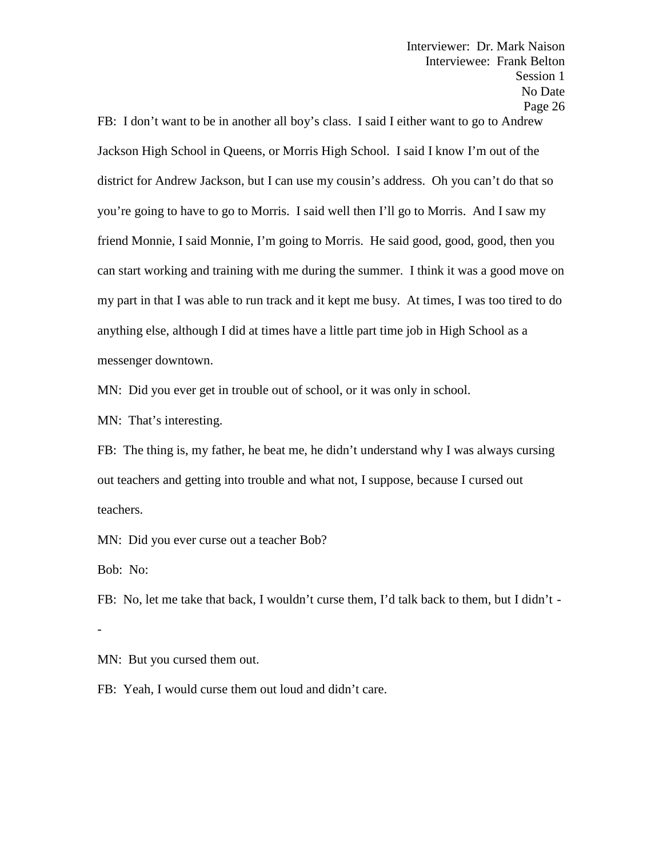FB: I don't want to be in another all boy's class. I said I either want to go to Andrew Jackson High School in Queens, or Morris High School. I said I know I'm out of the district for Andrew Jackson, but I can use my cousin's address. Oh you can't do that so you're going to have to go to Morris. I said well then I'll go to Morris. And I saw my friend Monnie, I said Monnie, I'm going to Morris. He said good, good, good, then you can start working and training with me during the summer. I think it was a good move on my part in that I was able to run track and it kept me busy. At times, I was too tired to do anything else, although I did at times have a little part time job in High School as a messenger downtown.

MN: Did you ever get in trouble out of school, or it was only in school.

MN: That's interesting.

FB: The thing is, my father, he beat me, he didn't understand why I was always cursing out teachers and getting into trouble and what not, I suppose, because I cursed out teachers.

MN: Did you ever curse out a teacher Bob?

Bob: No:

FB: No, let me take that back, I wouldn't curse them, I'd talk back to them, but I didn't -

MN: But you cursed them out.

FB: Yeah, I would curse them out loud and didn't care.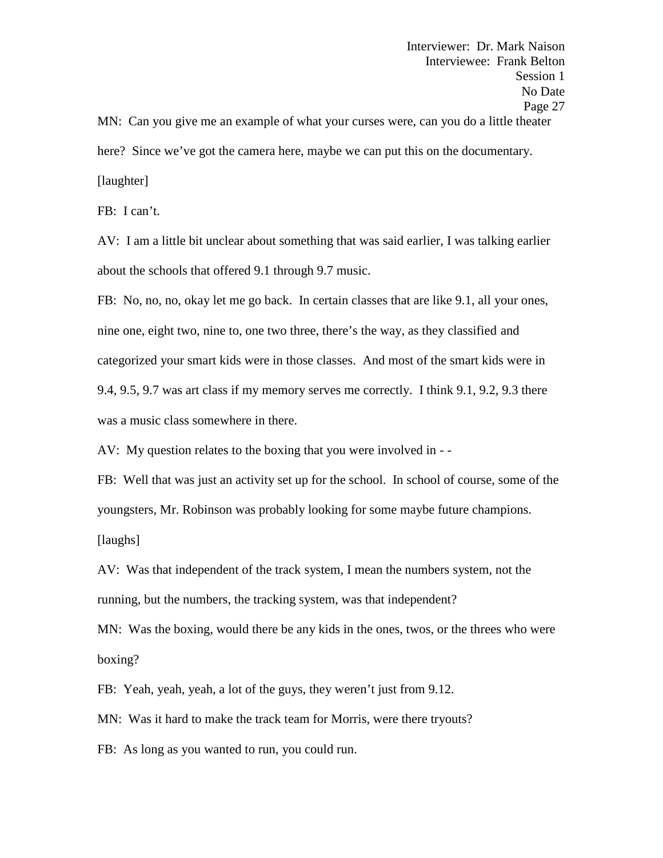MN: Can you give me an example of what your curses were, can you do a little theater here? Since we've got the camera here, maybe we can put this on the documentary. [laughter]

FB: I can't.

AV: I am a little bit unclear about something that was said earlier, I was talking earlier about the schools that offered 9.1 through 9.7 music.

FB: No, no, no, okay let me go back. In certain classes that are like 9.1, all your ones, nine one, eight two, nine to, one two three, there's the way, as they classified and categorized your smart kids were in those classes. And most of the smart kids were in 9.4, 9.5, 9.7 was art class if my memory serves me correctly. I think 9.1, 9.2, 9.3 there was a music class somewhere in there.

AV: My question relates to the boxing that you were involved in - -

FB: Well that was just an activity set up for the school. In school of course, some of the youngsters, Mr. Robinson was probably looking for some maybe future champions. [laughs]

AV: Was that independent of the track system, I mean the numbers system, not the running, but the numbers, the tracking system, was that independent?

MN: Was the boxing, would there be any kids in the ones, twos, or the threes who were boxing?

FB: Yeah, yeah, yeah, a lot of the guys, they weren't just from 9.12.

MN: Was it hard to make the track team for Morris, were there tryouts?

FB: As long as you wanted to run, you could run.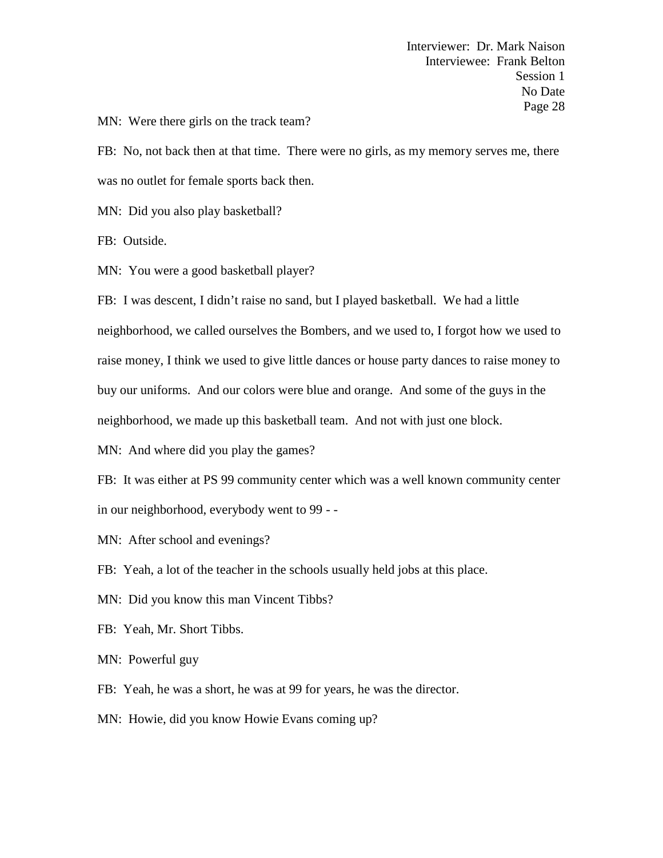MN: Were there girls on the track team?

FB: No, not back then at that time. There were no girls, as my memory serves me, there was no outlet for female sports back then.

MN: Did you also play basketball?

FB: Outside.

MN: You were a good basketball player?

FB: I was descent, I didn't raise no sand, but I played basketball. We had a little neighborhood, we called ourselves the Bombers, and we used to, I forgot how we used to raise money, I think we used to give little dances or house party dances to raise money to buy our uniforms. And our colors were blue and orange. And some of the guys in the neighborhood, we made up this basketball team. And not with just one block.

MN: And where did you play the games?

FB: It was either at PS 99 community center which was a well known community center in our neighborhood, everybody went to 99 - -

MN: After school and evenings?

FB: Yeah, a lot of the teacher in the schools usually held jobs at this place.

MN: Did you know this man Vincent Tibbs?

FB: Yeah, Mr. Short Tibbs.

MN: Powerful guy

FB: Yeah, he was a short, he was at 99 for years, he was the director.

MN: Howie, did you know Howie Evans coming up?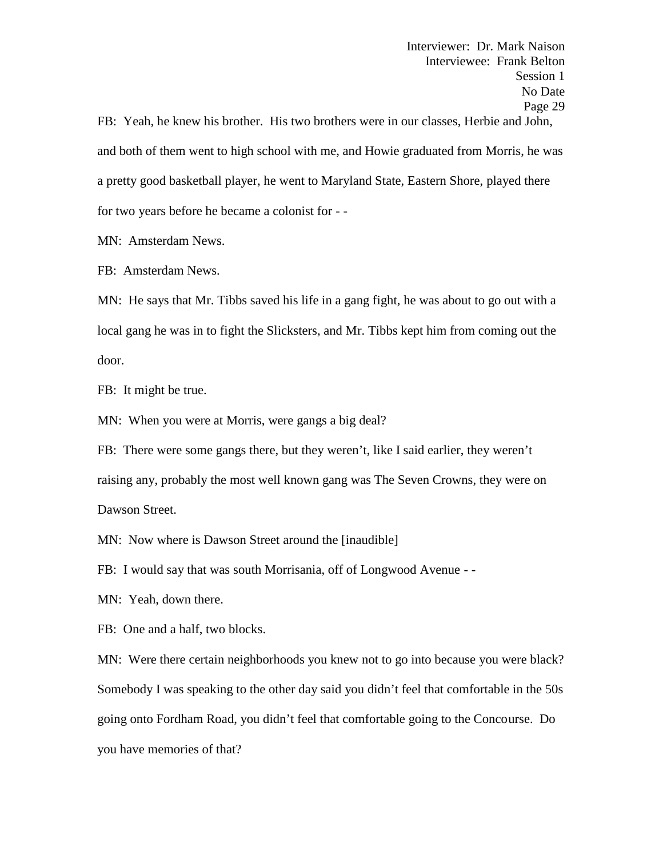Interviewer: Dr. Mark Naison Interviewee: Frank Belton Session 1 No Date Page 29 FB: Yeah, he knew his brother. His two brothers were in our classes, Herbie and John, and both of them went to high school with me, and Howie graduated from Morris, he was a pretty good basketball player, he went to Maryland State, Eastern Shore, played there

for two years before he became a colonist for - -

MN: Amsterdam News.

FB: Amsterdam News.

MN: He says that Mr. Tibbs saved his life in a gang fight, he was about to go out with a local gang he was in to fight the Slicksters, and Mr. Tibbs kept him from coming out the door.

FB: It might be true.

MN: When you were at Morris, were gangs a big deal?

FB: There were some gangs there, but they weren't, like I said earlier, they weren't raising any, probably the most well known gang was The Seven Crowns, they were on Dawson Street.

MN: Now where is Dawson Street around the [inaudible]

FB: I would say that was south Morrisania, off of Longwood Avenue - -

MN: Yeah, down there.

FB: One and a half, two blocks.

MN: Were there certain neighborhoods you knew not to go into because you were black? Somebody I was speaking to the other day said you didn't feel that comfortable in the 50s going onto Fordham Road, you didn't feel that comfortable going to the Concourse. Do you have memories of that?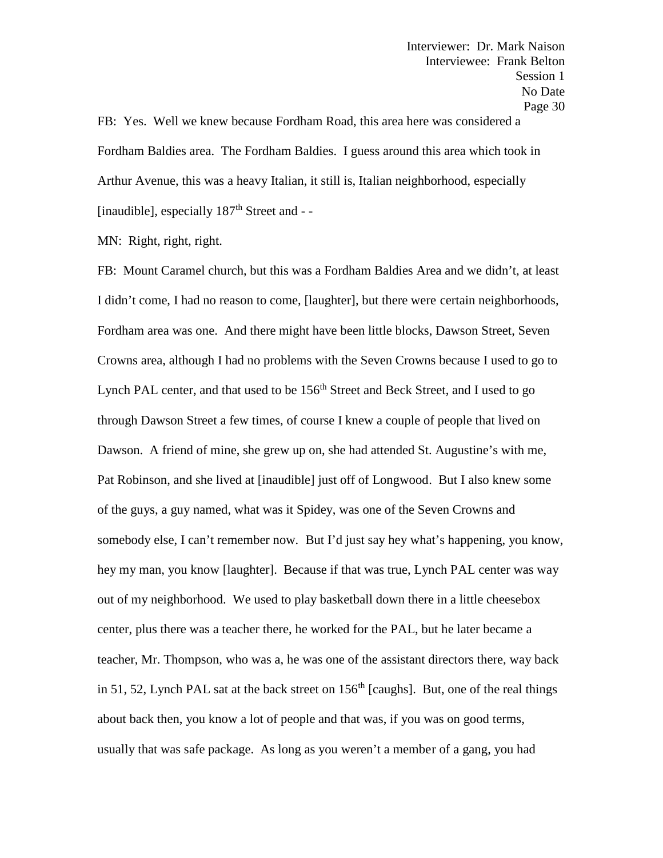FB: Yes. Well we knew because Fordham Road, this area here was considered a Fordham Baldies area. The Fordham Baldies. I guess around this area which took in Arthur Avenue, this was a heavy Italian, it still is, Italian neighborhood, especially [inaudible], especially 187<sup>th</sup> Street and - -

MN: Right, right, right.

FB: Mount Caramel church, but this was a Fordham Baldies Area and we didn't, at least I didn't come, I had no reason to come, [laughter], but there were certain neighborhoods, Fordham area was one. And there might have been little blocks, Dawson Street, Seven Crowns area, although I had no problems with the Seven Crowns because I used to go to Lynch PAL center, and that used to be 156<sup>th</sup> Street and Beck Street, and I used to go through Dawson Street a few times, of course I knew a couple of people that lived on Dawson. A friend of mine, she grew up on, she had attended St. Augustine's with me, Pat Robinson, and she lived at [inaudible] just off of Longwood. But I also knew some of the guys, a guy named, what was it Spidey, was one of the Seven Crowns and somebody else, I can't remember now. But I'd just say hey what's happening, you know, hey my man, you know [laughter]. Because if that was true, Lynch PAL center was way out of my neighborhood. We used to play basketball down there in a little cheesebox center, plus there was a teacher there, he worked for the PAL, but he later became a teacher, Mr. Thompson, who was a, he was one of the assistant directors there, way back in 51, 52, Lynch PAL sat at the back street on  $156<sup>th</sup>$  [caughs]. But, one of the real things about back then, you know a lot of people and that was, if you was on good terms, usually that was safe package. As long as you weren't a member of a gang, you had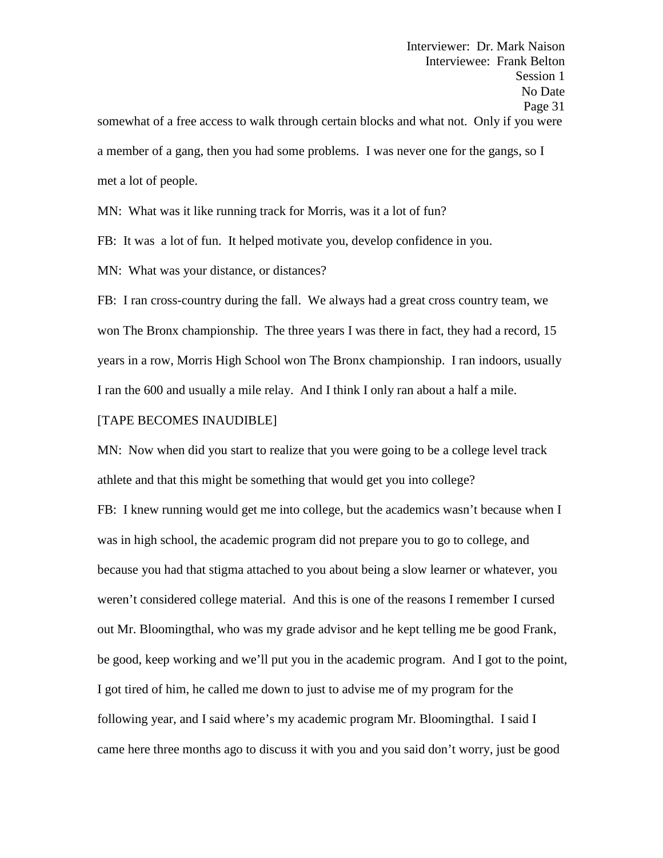Interviewer: Dr. Mark Naison Interviewee: Frank Belton Session 1 No Date Page 31 somewhat of a free access to walk through certain blocks and what not. Only if you were a member of a gang, then you had some problems. I was never one for the gangs, so I met a lot of people.

MN: What was it like running track for Morris, was it a lot of fun?

FB: It was a lot of fun. It helped motivate you, develop confidence in you.

MN: What was your distance, or distances?

FB: I ran cross-country during the fall. We always had a great cross country team, we won The Bronx championship. The three years I was there in fact, they had a record, 15 years in a row, Morris High School won The Bronx championship. I ran indoors, usually I ran the 600 and usually a mile relay. And I think I only ran about a half a mile.

## [TAPE BECOMES INAUDIBLE]

MN: Now when did you start to realize that you were going to be a college level track athlete and that this might be something that would get you into college?

FB: I knew running would get me into college, but the academics wasn't because when I was in high school, the academic program did not prepare you to go to college, and because you had that stigma attached to you about being a slow learner or whatever, you weren't considered college material. And this is one of the reasons I remember I cursed out Mr. Bloomingthal, who was my grade advisor and he kept telling me be good Frank, be good, keep working and we'll put you in the academic program. And I got to the point, I got tired of him, he called me down to just to advise me of my program for the following year, and I said where's my academic program Mr. Bloomingthal. I said I came here three months ago to discuss it with you and you said don't worry, just be good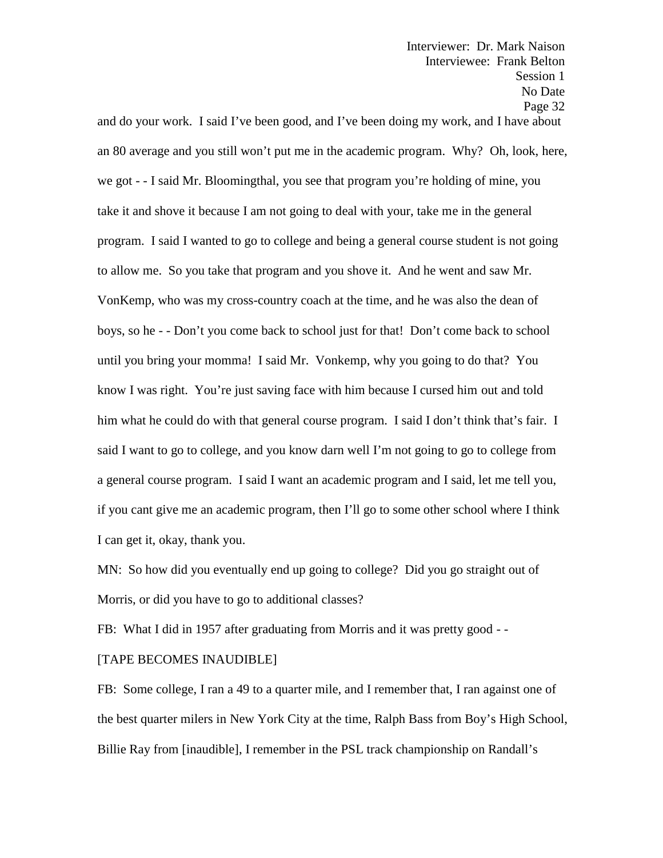and do your work. I said I've been good, and I've been doing my work, and I have about an 80 average and you still won't put me in the academic program. Why? Oh, look, here, we got - - I said Mr. Bloomingthal, you see that program you're holding of mine, you take it and shove it because I am not going to deal with your, take me in the general program. I said I wanted to go to college and being a general course student is not going to allow me. So you take that program and you shove it. And he went and saw Mr. VonKemp, who was my cross-country coach at the time, and he was also the dean of boys, so he - - Don't you come back to school just for that! Don't come back to school until you bring your momma! I said Mr. Vonkemp, why you going to do that? You know I was right. You're just saving face with him because I cursed him out and told him what he could do with that general course program. I said I don't think that's fair. I said I want to go to college, and you know darn well I'm not going to go to college from a general course program. I said I want an academic program and I said, let me tell you, if you cant give me an academic program, then I'll go to some other school where I think I can get it, okay, thank you.

MN: So how did you eventually end up going to college? Did you go straight out of Morris, or did you have to go to additional classes?

FB: What I did in 1957 after graduating from Morris and it was pretty good - -

## [TAPE BECOMES INAUDIBLE]

FB: Some college, I ran a 49 to a quarter mile, and I remember that, I ran against one of the best quarter milers in New York City at the time, Ralph Bass from Boy's High School, Billie Ray from [inaudible], I remember in the PSL track championship on Randall's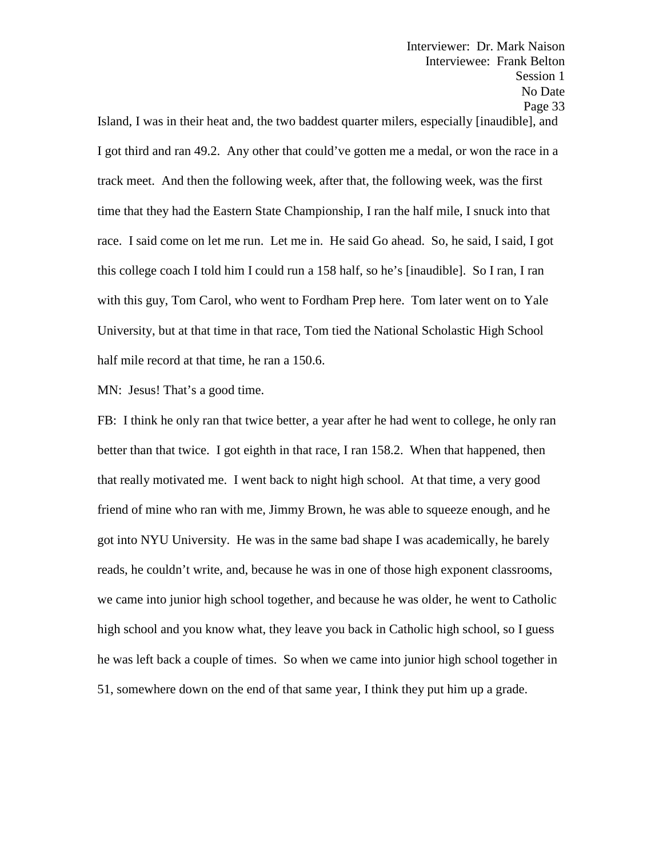Island, I was in their heat and, the two baddest quarter milers, especially [inaudible], and I got third and ran 49.2. Any other that could've gotten me a medal, or won the race in a track meet. And then the following week, after that, the following week, was the first time that they had the Eastern State Championship, I ran the half mile, I snuck into that race. I said come on let me run. Let me in. He said Go ahead. So, he said, I said, I got this college coach I told him I could run a 158 half, so he's [inaudible]. So I ran, I ran with this guy, Tom Carol, who went to Fordham Prep here. Tom later went on to Yale University, but at that time in that race, Tom tied the National Scholastic High School half mile record at that time, he ran a 150.6.

MN: Jesus! That's a good time.

FB: I think he only ran that twice better, a year after he had went to college, he only ran better than that twice. I got eighth in that race, I ran 158.2. When that happened, then that really motivated me. I went back to night high school. At that time, a very good friend of mine who ran with me, Jimmy Brown, he was able to squeeze enough, and he got into NYU University. He was in the same bad shape I was academically, he barely reads, he couldn't write, and, because he was in one of those high exponent classrooms, we came into junior high school together, and because he was older, he went to Catholic high school and you know what, they leave you back in Catholic high school, so I guess he was left back a couple of times. So when we came into junior high school together in 51, somewhere down on the end of that same year, I think they put him up a grade.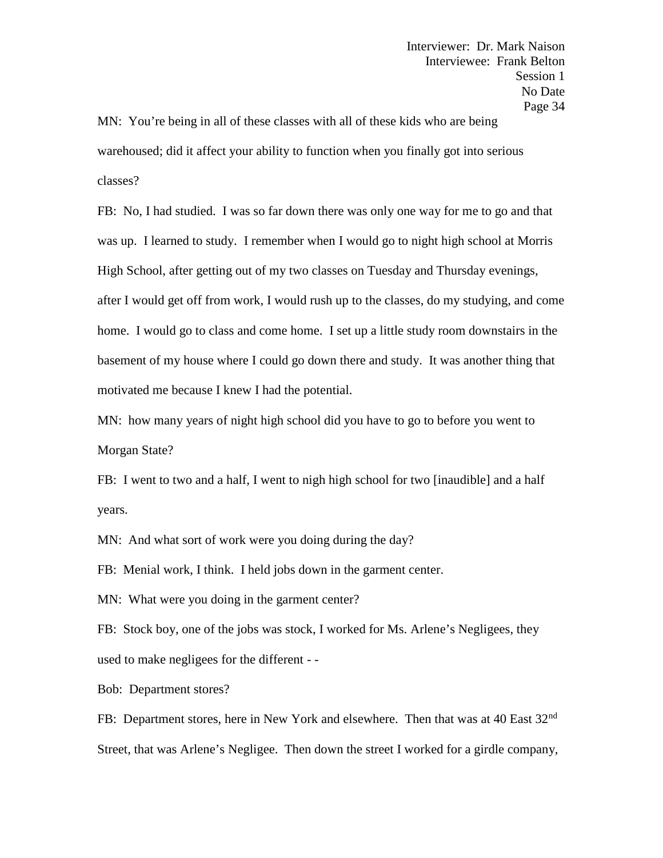MN: You're being in all of these classes with all of these kids who are being warehoused; did it affect your ability to function when you finally got into serious classes?

FB: No, I had studied. I was so far down there was only one way for me to go and that was up. I learned to study. I remember when I would go to night high school at Morris High School, after getting out of my two classes on Tuesday and Thursday evenings, after I would get off from work, I would rush up to the classes, do my studying, and come home. I would go to class and come home. I set up a little study room downstairs in the basement of my house where I could go down there and study. It was another thing that motivated me because I knew I had the potential.

MN: how many years of night high school did you have to go to before you went to Morgan State?

FB: I went to two and a half, I went to nigh high school for two [inaudible] and a half years.

MN: And what sort of work were you doing during the day?

FB: Menial work, I think. I held jobs down in the garment center.

MN: What were you doing in the garment center?

FB: Stock boy, one of the jobs was stock, I worked for Ms. Arlene's Negligees, they used to make negligees for the different - -

Bob: Department stores?

FB: Department stores, here in New York and elsewhere. Then that was at 40 East 32<sup>nd</sup> Street, that was Arlene's Negligee. Then down the street I worked for a girdle company,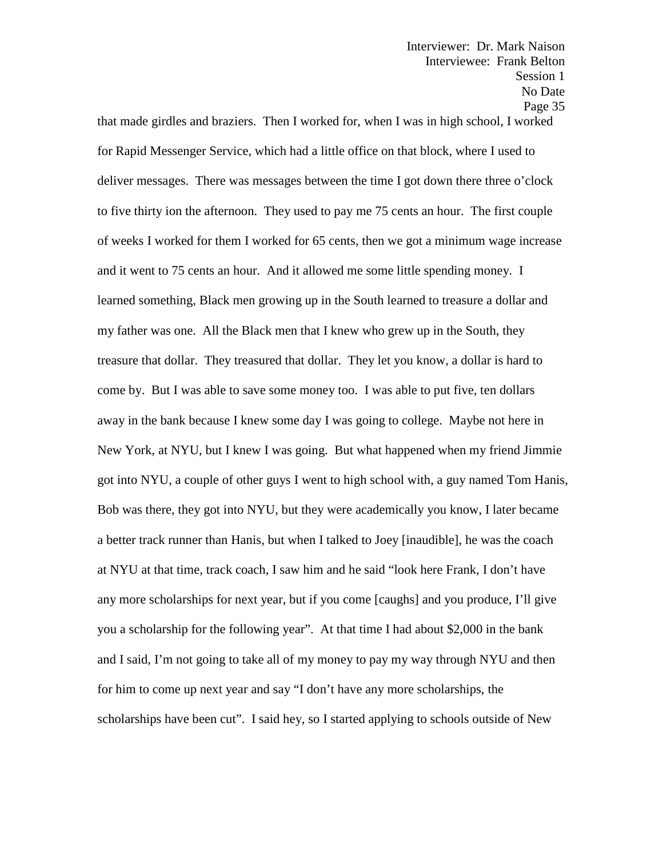that made girdles and braziers. Then I worked for, when I was in high school, I worked for Rapid Messenger Service, which had a little office on that block, where I used to deliver messages. There was messages between the time I got down there three o'clock to five thirty ion the afternoon. They used to pay me 75 cents an hour. The first couple of weeks I worked for them I worked for 65 cents, then we got a minimum wage increase and it went to 75 cents an hour. And it allowed me some little spending money. I learned something, Black men growing up in the South learned to treasure a dollar and my father was one. All the Black men that I knew who grew up in the South, they treasure that dollar. They treasured that dollar. They let you know, a dollar is hard to come by. But I was able to save some money too. I was able to put five, ten dollars away in the bank because I knew some day I was going to college. Maybe not here in New York, at NYU, but I knew I was going. But what happened when my friend Jimmie got into NYU, a couple of other guys I went to high school with, a guy named Tom Hanis, Bob was there, they got into NYU, but they were academically you know, I later became a better track runner than Hanis, but when I talked to Joey [inaudible], he was the coach at NYU at that time, track coach, I saw him and he said "look here Frank, I don't have any more scholarships for next year, but if you come [caughs] and you produce, I'll give you a scholarship for the following year". At that time I had about \$2,000 in the bank and I said, I'm not going to take all of my money to pay my way through NYU and then for him to come up next year and say "I don't have any more scholarships, the scholarships have been cut". I said hey, so I started applying to schools outside of New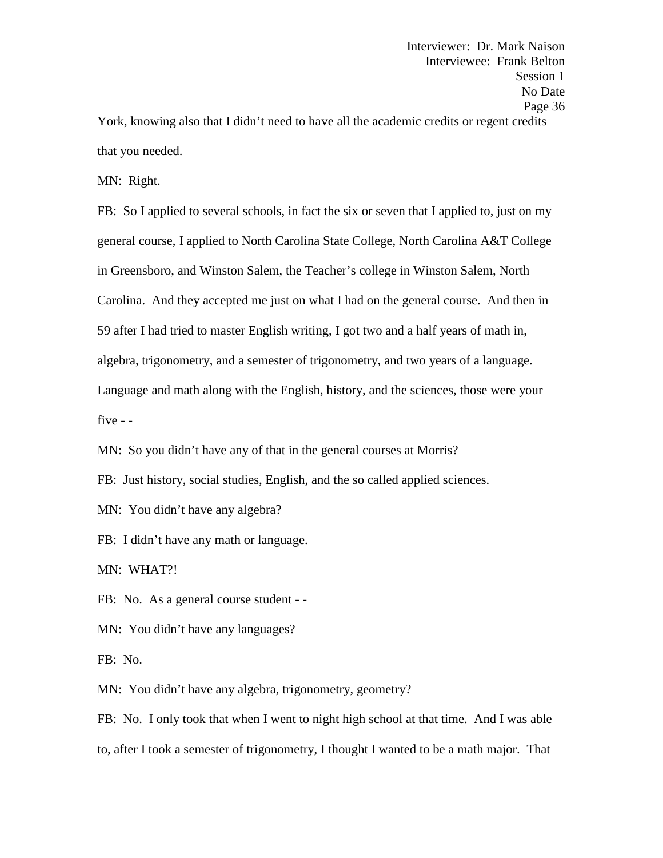Interviewer: Dr. Mark Naison Interviewee: Frank Belton Session 1 No Date Page 36 York, knowing also that I didn't need to have all the academic credits or regent credits

that you needed.

MN: Right.

FB: So I applied to several schools, in fact the six or seven that I applied to, just on my general course, I applied to North Carolina State College, North Carolina A&T College in Greensboro, and Winston Salem, the Teacher's college in Winston Salem, North Carolina. And they accepted me just on what I had on the general course. And then in 59 after I had tried to master English writing, I got two and a half years of math in, algebra, trigonometry, and a semester of trigonometry, and two years of a language. Language and math along with the English, history, and the sciences, those were your five - -

MN: So you didn't have any of that in the general courses at Morris?

FB: Just history, social studies, English, and the so called applied sciences.

MN: You didn't have any algebra?

FB: I didn't have any math or language.

MN: WHAT?!

FB: No. As a general course student - -

MN: You didn't have any languages?

FB: No.

MN: You didn't have any algebra, trigonometry, geometry?

FB: No. I only took that when I went to night high school at that time. And I was able to, after I took a semester of trigonometry, I thought I wanted to be a math major. That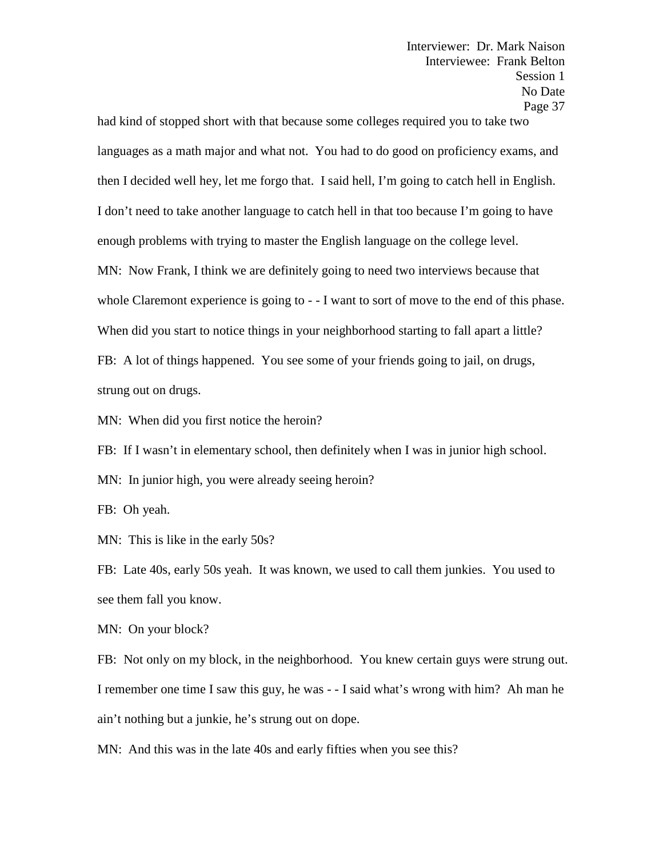had kind of stopped short with that because some colleges required you to take two languages as a math major and what not. You had to do good on proficiency exams, and then I decided well hey, let me forgo that. I said hell, I'm going to catch hell in English. I don't need to take another language to catch hell in that too because I'm going to have enough problems with trying to master the English language on the college level. MN: Now Frank, I think we are definitely going to need two interviews because that whole Claremont experience is going to - - I want to sort of move to the end of this phase. When did you start to notice things in your neighborhood starting to fall apart a little? FB: A lot of things happened. You see some of your friends going to jail, on drugs, strung out on drugs.

MN: When did you first notice the heroin?

FB: If I wasn't in elementary school, then definitely when I was in junior high school.

MN: In junior high, you were already seeing heroin?

FB: Oh yeah.

MN: This is like in the early 50s?

FB: Late 40s, early 50s yeah. It was known, we used to call them junkies. You used to see them fall you know.

MN: On your block?

FB: Not only on my block, in the neighborhood. You knew certain guys were strung out. I remember one time I saw this guy, he was - - I said what's wrong with him? Ah man he ain't nothing but a junkie, he's strung out on dope.

MN: And this was in the late 40s and early fifties when you see this?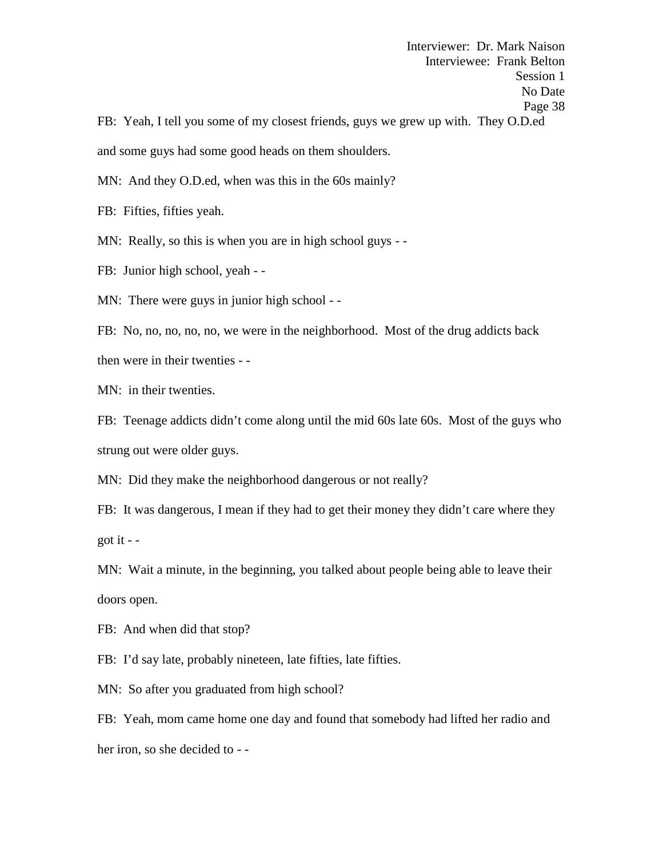Interviewer: Dr. Mark Naison Interviewee: Frank Belton Session 1 No Date Page 38 FB: Yeah, I tell you some of my closest friends, guys we grew up with. They O.D.ed and some guys had some good heads on them shoulders.

MN: And they O.D.ed, when was this in the 60s mainly?

FB: Fifties, fifties yeah.

MN: Really, so this is when you are in high school guys - -

FB: Junior high school, yeah - -

MN: There were guys in junior high school - -

FB: No, no, no, no, no, we were in the neighborhood. Most of the drug addicts back then were in their twenties - -

MN: in their twenties.

FB: Teenage addicts didn't come along until the mid 60s late 60s. Most of the guys who strung out were older guys.

MN: Did they make the neighborhood dangerous or not really?

FB: It was dangerous, I mean if they had to get their money they didn't care where they got it  $-$ 

MN: Wait a minute, in the beginning, you talked about people being able to leave their doors open.

FB: And when did that stop?

FB: I'd say late, probably nineteen, late fifties, late fifties.

MN: So after you graduated from high school?

FB: Yeah, mom came home one day and found that somebody had lifted her radio and her iron, so she decided to - -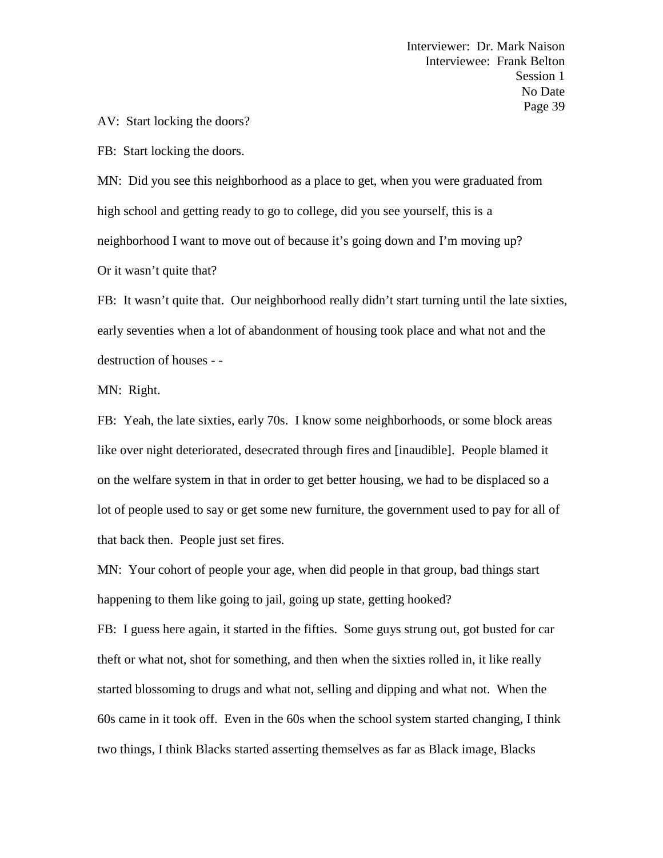AV: Start locking the doors?

FB: Start locking the doors.

MN: Did you see this neighborhood as a place to get, when you were graduated from high school and getting ready to go to college, did you see yourself, this is a neighborhood I want to move out of because it's going down and I'm moving up? Or it wasn't quite that?

FB: It wasn't quite that. Our neighborhood really didn't start turning until the late sixties, early seventies when a lot of abandonment of housing took place and what not and the destruction of houses - -

MN: Right.

FB: Yeah, the late sixties, early 70s. I know some neighborhoods, or some block areas like over night deteriorated, desecrated through fires and [inaudible]. People blamed it on the welfare system in that in order to get better housing, we had to be displaced so a lot of people used to say or get some new furniture, the government used to pay for all of that back then. People just set fires.

MN: Your cohort of people your age, when did people in that group, bad things start happening to them like going to jail, going up state, getting hooked?

FB: I guess here again, it started in the fifties. Some guys strung out, got busted for car theft or what not, shot for something, and then when the sixties rolled in, it like really started blossoming to drugs and what not, selling and dipping and what not. When the 60s came in it took off. Even in the 60s when the school system started changing, I think two things, I think Blacks started asserting themselves as far as Black image, Blacks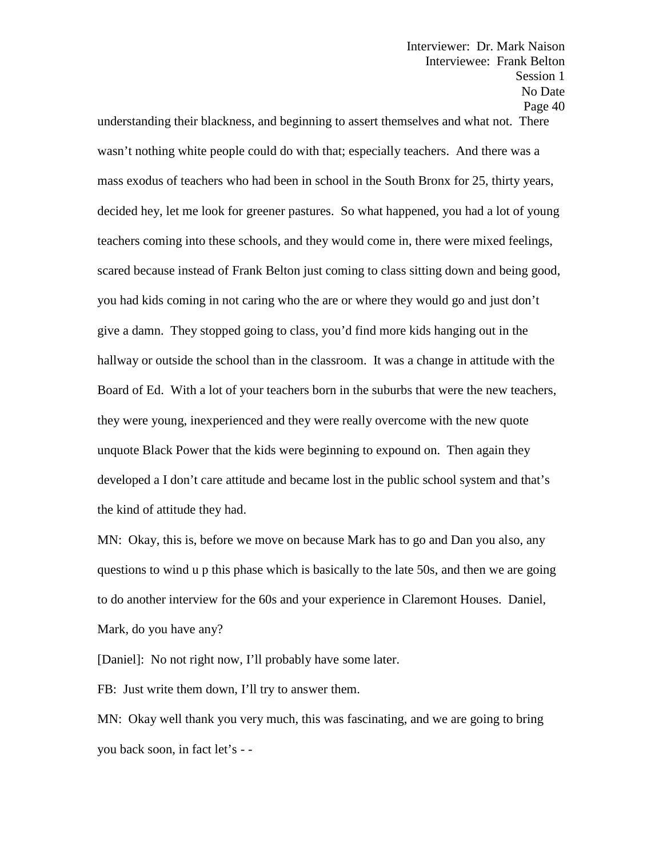understanding their blackness, and beginning to assert themselves and what not. There wasn't nothing white people could do with that; especially teachers. And there was a mass exodus of teachers who had been in school in the South Bronx for 25, thirty years, decided hey, let me look for greener pastures. So what happened, you had a lot of young teachers coming into these schools, and they would come in, there were mixed feelings, scared because instead of Frank Belton just coming to class sitting down and being good, you had kids coming in not caring who the are or where they would go and just don't give a damn. They stopped going to class, you'd find more kids hanging out in the hallway or outside the school than in the classroom. It was a change in attitude with the Board of Ed. With a lot of your teachers born in the suburbs that were the new teachers, they were young, inexperienced and they were really overcome with the new quote unquote Black Power that the kids were beginning to expound on. Then again they developed a I don't care attitude and became lost in the public school system and that's the kind of attitude they had.

MN: Okay, this is, before we move on because Mark has to go and Dan you also, any questions to wind u p this phase which is basically to the late 50s, and then we are going to do another interview for the 60s and your experience in Claremont Houses. Daniel, Mark, do you have any?

[Daniel]: No not right now, I'll probably have some later.

FB: Just write them down, I'll try to answer them.

MN: Okay well thank you very much, this was fascinating, and we are going to bring you back soon, in fact let's - -